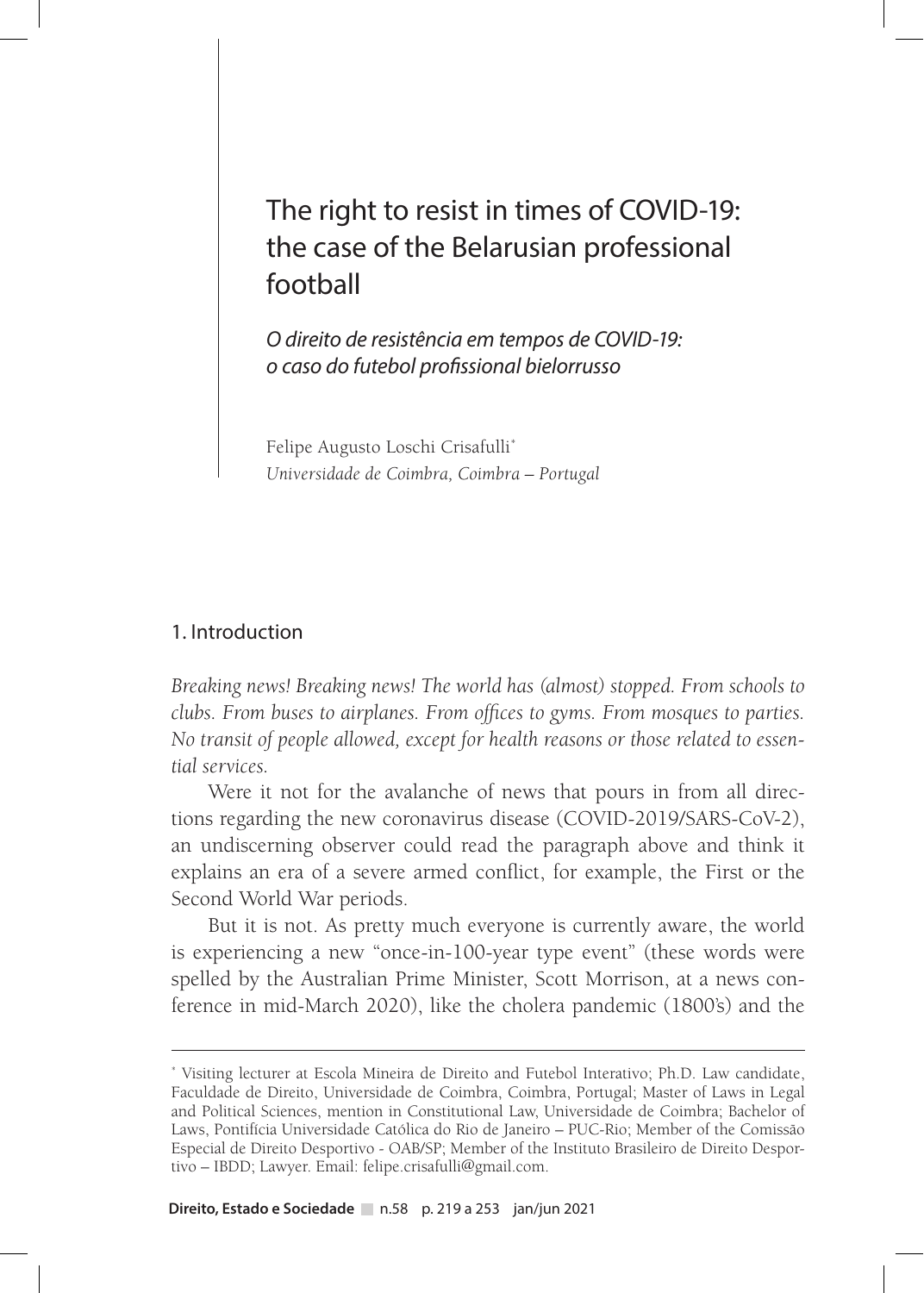# The right to resist in times of COVID-19: the case of the Belarusian professional football

*O direito de resistência em tempos de COVID-19: o caso do futebol profissional bielorrusso*

Felipe Augusto Loschi Crisafulli\* *Universidade de Coimbra, Coimbra – Portugal*

### 1. Introduction

*Breaking news! Breaking news! The world has (almost) stopped. From schools to clubs. From buses to airplanes. From offices to gyms. From mosques to parties. No transit of people allowed, except for health reasons or those related to essential services.*

Were it not for the avalanche of news that pours in from all directions regarding the new coronavirus disease (COVID-2019/SARS-CoV-2), an undiscerning observer could read the paragraph above and think it explains an era of a severe armed conflict, for example, the First or the Second World War periods.

But it is not. As pretty much everyone is currently aware, the world is experiencing a new "once-in-100-year type event" (these words were spelled by the Australian Prime Minister, Scott Morrison, at a news conference in mid-March 2020), like the cholera pandemic (1800's) and the

<sup>\*</sup> Visiting lecturer at Escola Mineira de Direito and Futebol Interativo; Ph.D. Law candidate, Faculdade de Direito, Universidade de Coimbra, Coimbra, Portugal; Master of Laws in Legal and Political Sciences, mention in Constitutional Law, Universidade de Coimbra; Bachelor of Laws, Pontifícia Universidade Católica do Rio de Janeiro – PUC-Rio; Member of the Comissão Especial de Direito Desportivo - OAB/SP; Member of the Instituto Brasileiro de Direito Desportivo – IBDD; Lawyer. Email: felipe.crisafulli@gmail.com.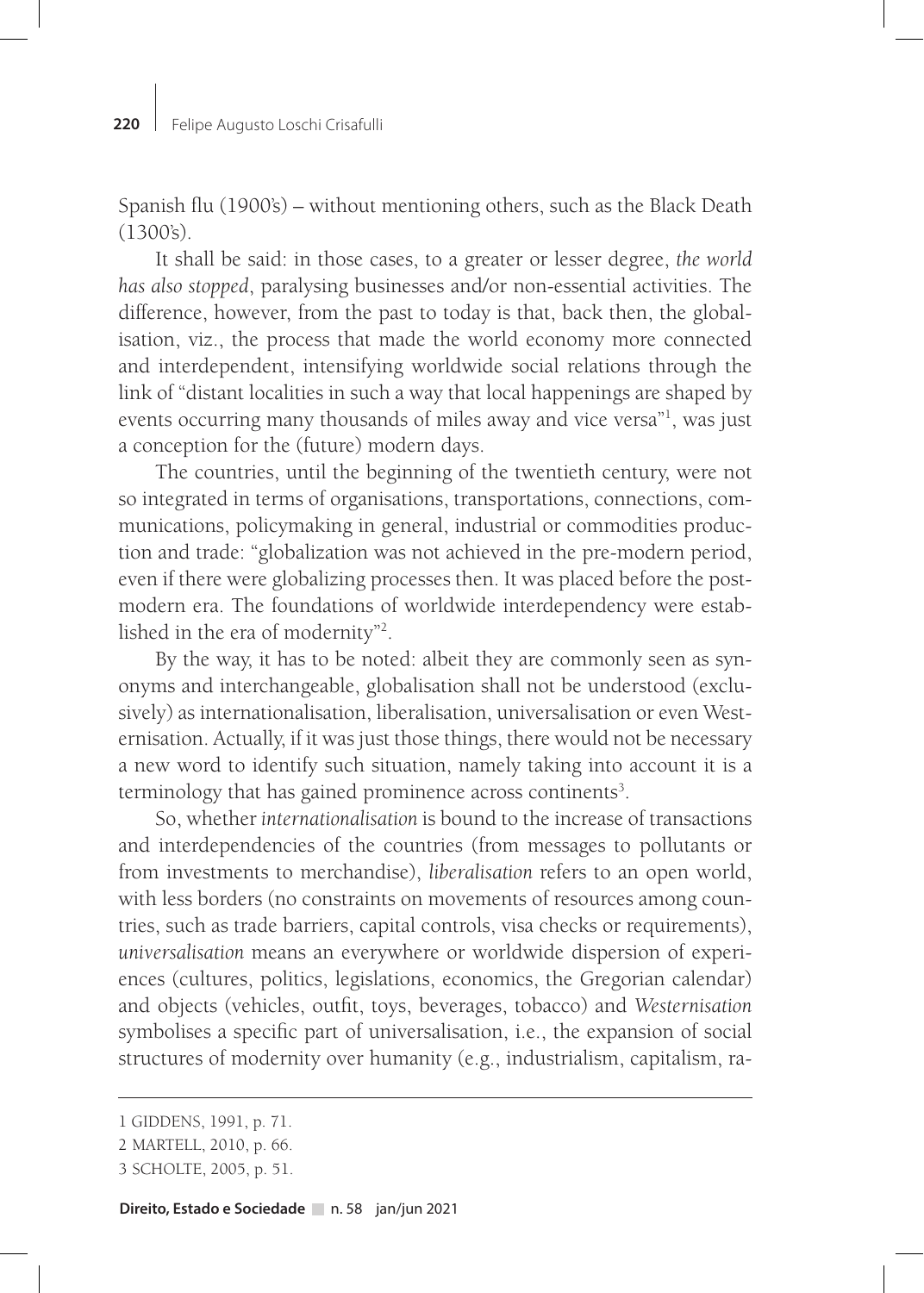Spanish flu (1900's) – without mentioning others, such as the Black Death (1300's).

It shall be said: in those cases, to a greater or lesser degree, *the world has also stopped*, paralysing businesses and/or non-essential activities. The difference, however, from the past to today is that, back then, the globalisation, viz., the process that made the world economy more connected and interdependent, intensifying worldwide social relations through the link of "distant localities in such a way that local happenings are shaped by events occurring many thousands of miles away and vice versa"<sup>1</sup>, was just a conception for the (future) modern days.

The countries, until the beginning of the twentieth century, were not so integrated in terms of organisations, transportations, connections, communications, policymaking in general, industrial or commodities production and trade: "globalization was not achieved in the pre-modern period, even if there were globalizing processes then. It was placed before the postmodern era. The foundations of worldwide interdependency were established in the era of modernity"2 .

By the way, it has to be noted: albeit they are commonly seen as synonyms and interchangeable, globalisation shall not be understood (exclusively) as internationalisation, liberalisation, universalisation or even Westernisation. Actually, if it was just those things, there would not be necessary a new word to identify such situation, namely taking into account it is a terminology that has gained prominence across continents<sup>3</sup>.

So, whether *internationalisation* is bound to the increase of transactions and interdependencies of the countries (from messages to pollutants or from investments to merchandise), *liberalisation* refers to an open world, with less borders (no constraints on movements of resources among countries, such as trade barriers, capital controls, visa checks or requirements), *universalisation* means an everywhere or worldwide dispersion of experiences (cultures, politics, legislations, economics, the Gregorian calendar) and objects (vehicles, outfit, toys, beverages, tobacco) and *Westernisation* symbolises a specific part of universalisation, i.e., the expansion of social structures of modernity over humanity (e.g., industrialism, capitalism, ra-

<sup>1</sup> GIDDENS, 1991, p. 71.

<sup>2</sup> MARTELL, 2010, p. 66.

<sup>3</sup> SCHOLTE, 2005, p. 51.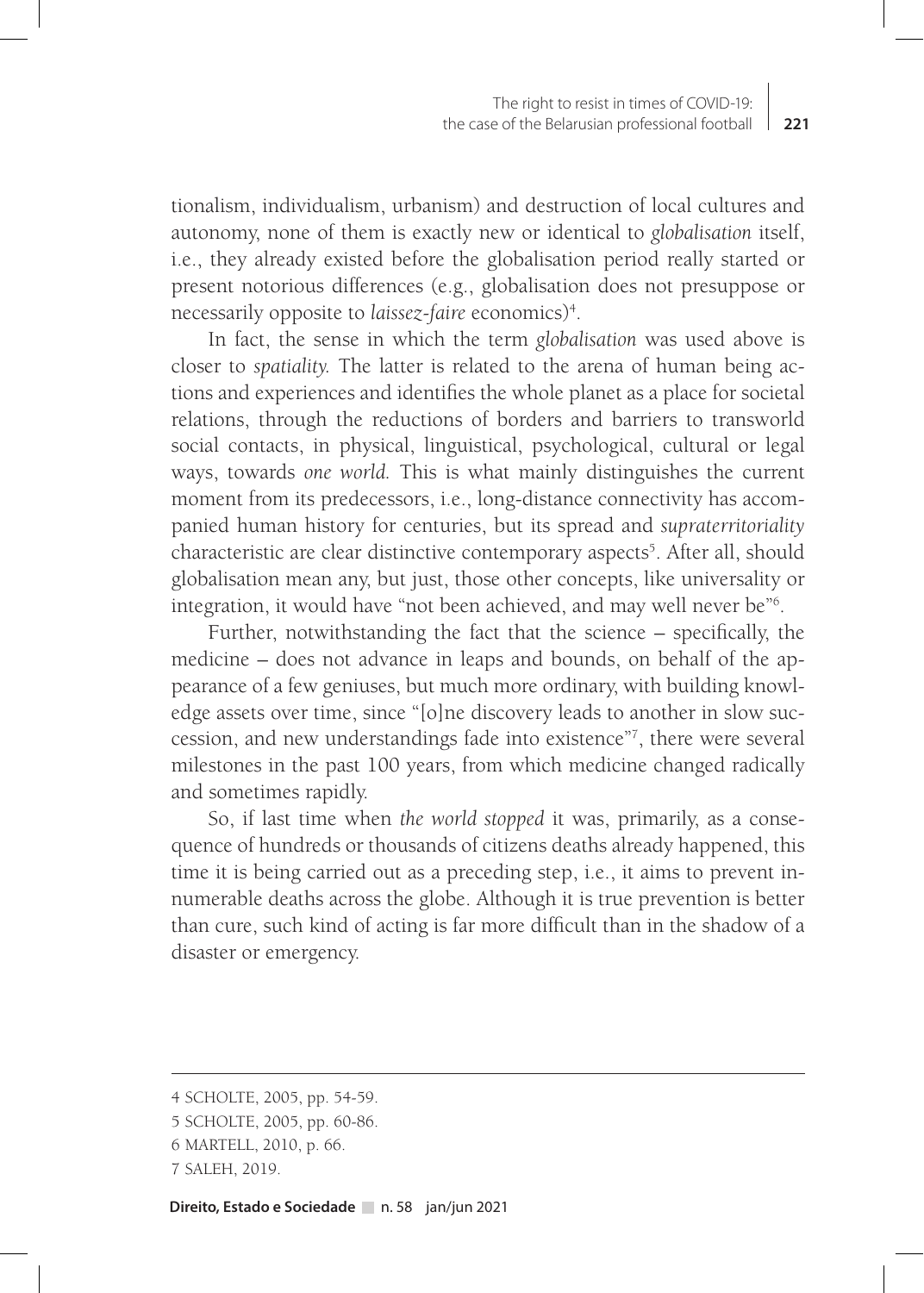tionalism, individualism, urbanism) and destruction of local cultures and autonomy, none of them is exactly new or identical to *globalisation* itself, i.e., they already existed before the globalisation period really started or present notorious differences (e.g., globalisation does not presuppose or necessarily opposite to *laissez-faire* economics)4 .

In fact, the sense in which the term *globalisation* was used above is closer to *spatiality.* The latter is related to the arena of human being actions and experiences and identifies the whole planet as a place for societal relations, through the reductions of borders and barriers to transworld social contacts, in physical, linguistical, psychological, cultural or legal ways, towards *one world.* This is what mainly distinguishes the current moment from its predecessors, i.e., long-distance connectivity has accompanied human history for centuries, but its spread and *supraterritoriality* characteristic are clear distinctive contemporary aspects<sup>5</sup>. After all, should globalisation mean any, but just, those other concepts, like universality or integration, it would have "not been achieved, and may well never be"6 .

Further, notwithstanding the fact that the science – specifically, the medicine – does not advance in leaps and bounds, on behalf of the appearance of a few geniuses, but much more ordinary, with building knowledge assets over time, since "[o]ne discovery leads to another in slow succession, and new understandings fade into existence"7 , there were several milestones in the past 100 years, from which medicine changed radically and sometimes rapidly.

So, if last time when *the world stopped* it was, primarily, as a consequence of hundreds or thousands of citizens deaths already happened, this time it is being carried out as a preceding step, i.e., it aims to prevent innumerable deaths across the globe. Although it is true prevention is better than cure, such kind of acting is far more difficult than in the shadow of a disaster or emergency.

<sup>4</sup> SCHOLTE, 2005, pp. 54-59.

<sup>5</sup> SCHOLTE, 2005, pp. 60-86.

<sup>6</sup> MARTELL, 2010, p. 66.

<sup>7</sup> SALEH, 2019.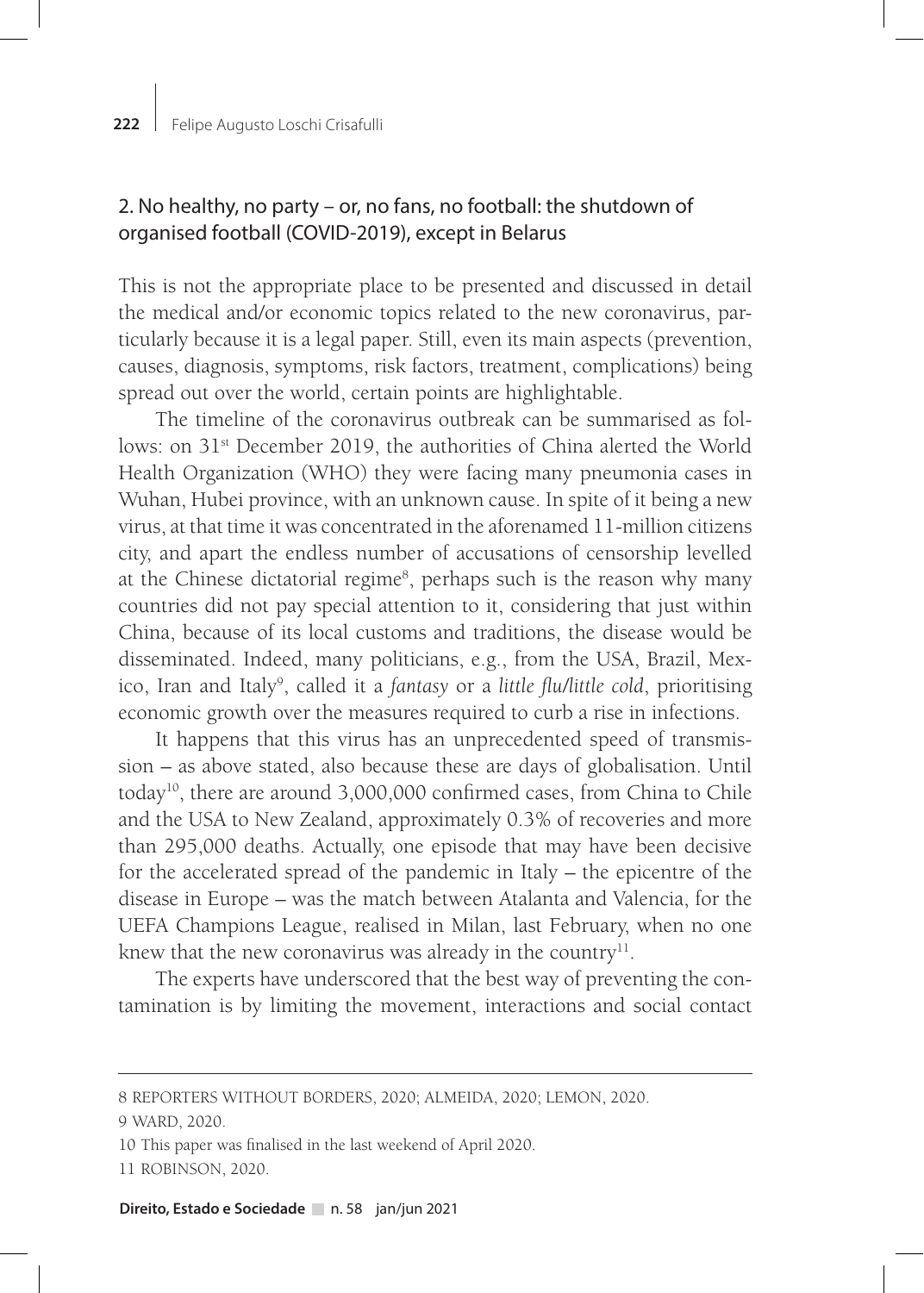#### **222** Felipe Augusto Loschi Crisafulli

# 2. No healthy, no party – or, no fans, no football: the shutdown of organised football (COVID-2019), except in Belarus

This is not the appropriate place to be presented and discussed in detail the medical and/or economic topics related to the new coronavirus, particularly because it is a legal paper. Still, even its main aspects (prevention, causes, diagnosis, symptoms, risk factors, treatment, complications) being spread out over the world, certain points are highlightable.

The timeline of the coronavirus outbreak can be summarised as follows: on 31st December 2019, the authorities of China alerted the World Health Organization (WHO) they were facing many pneumonia cases in Wuhan, Hubei province, with an unknown cause. In spite of it being a new virus, at that time it was concentrated in the aforenamed 11-million citizens city, and apart the endless number of accusations of censorship levelled at the Chinese dictatorial regime<sup>8</sup>, perhaps such is the reason why many countries did not pay special attention to it, considering that just within China, because of its local customs and traditions, the disease would be disseminated. Indeed, many politicians, e.g., from the USA, Brazil, Mexico, Iran and Italy9 , called it a *fantasy* or a *little flu/little cold*, prioritising economic growth over the measures required to curb a rise in infections.

It happens that this virus has an unprecedented speed of transmission – as above stated, also because these are days of globalisation. Until today10, there are around 3,000,000 confirmed cases, from China to Chile and the USA to New Zealand, approximately 0.3% of recoveries and more than 295,000 deaths. Actually, one episode that may have been decisive for the accelerated spread of the pandemic in Italy – the epicentre of the disease in Europe – was the match between Atalanta and Valencia, for the UEFA Champions League, realised in Milan, last February, when no one knew that the new coronavirus was already in the country $11$ .

The experts have underscored that the best way of preventing the contamination is by limiting the movement, interactions and social contact

9 WARD, 2020.

<sup>8</sup> REPORTERS WITHOUT BORDERS, 2020; ALMEIDA, 2020; LEMON, 2020.

<sup>10</sup> This paper was finalised in the last weekend of April 2020. 11 ROBINSON, 2020.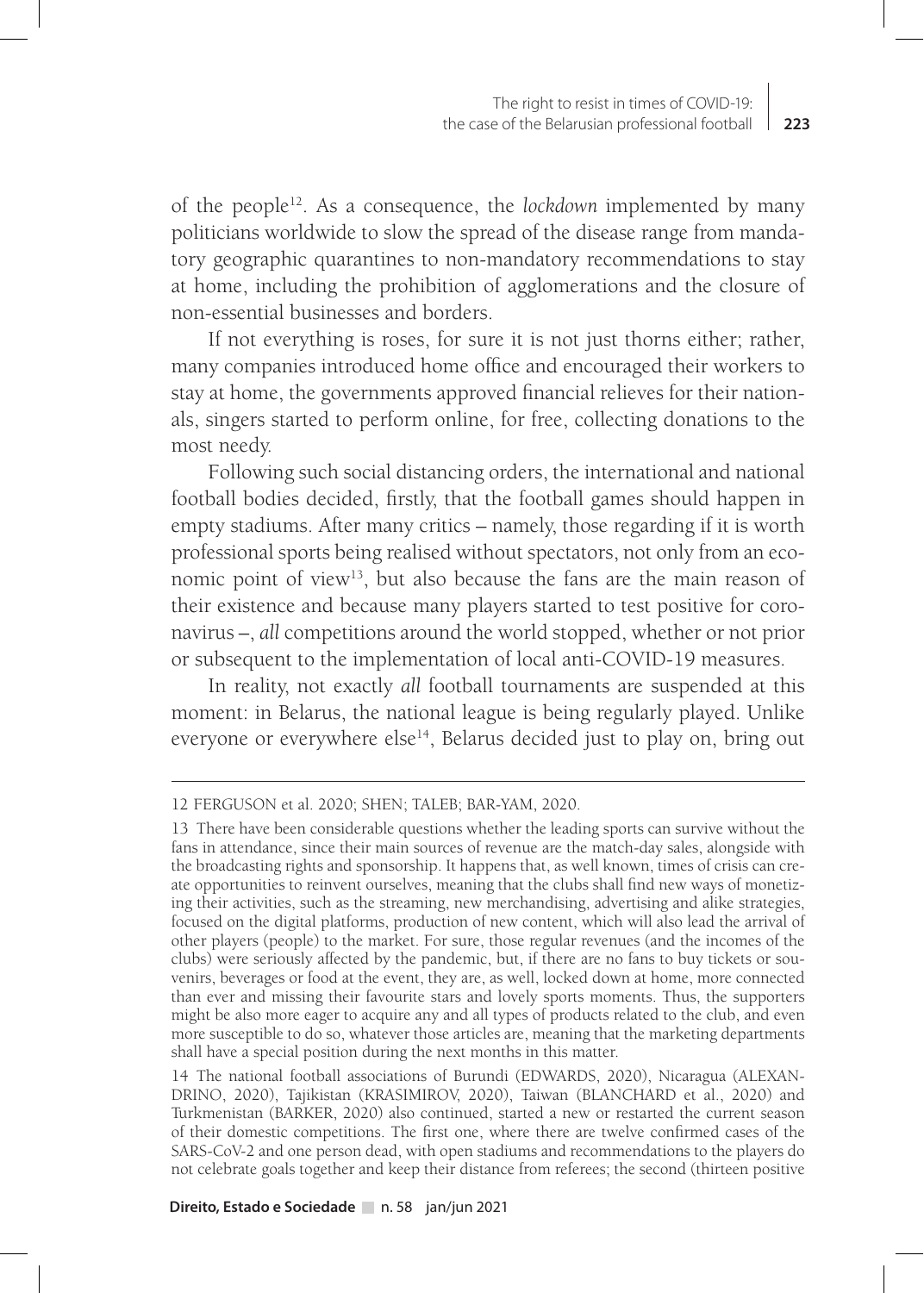of the people12. As a consequence, the *lockdown* implemented by many politicians worldwide to slow the spread of the disease range from mandatory geographic quarantines to non-mandatory recommendations to stay at home, including the prohibition of agglomerations and the closure of non-essential businesses and borders.

If not everything is roses, for sure it is not just thorns either; rather, many companies introduced home office and encouraged their workers to stay at home, the governments approved financial relieves for their nationals, singers started to perform online, for free, collecting donations to the most needy.

Following such social distancing orders, the international and national football bodies decided, firstly, that the football games should happen in empty stadiums. After many critics – namely, those regarding if it is worth professional sports being realised without spectators, not only from an economic point of view<sup>13</sup>, but also because the fans are the main reason of their existence and because many players started to test positive for coronavirus –, *all* competitions around the world stopped, whether or not prior or subsequent to the implementation of local anti-COVID-19 measures.

In reality, not exactly *all* football tournaments are suspended at this moment: in Belarus, the national league is being regularly played. Unlike everyone or everywhere else $14$ , Belarus decided just to play on, bring out

<sup>12</sup> FERGUSON et al. 2020; SHEN; TALEB; BAR-YAM, 2020.

<sup>13</sup> There have been considerable questions whether the leading sports can survive without the fans in attendance, since their main sources of revenue are the match-day sales, alongside with the broadcasting rights and sponsorship. It happens that, as well known, times of crisis can create opportunities to reinvent ourselves, meaning that the clubs shall find new ways of monetizing their activities, such as the streaming, new merchandising, advertising and alike strategies, focused on the digital platforms, production of new content, which will also lead the arrival of other players (people) to the market. For sure, those regular revenues (and the incomes of the clubs) were seriously affected by the pandemic, but, if there are no fans to buy tickets or souvenirs, beverages or food at the event, they are, as well, locked down at home, more connected than ever and missing their favourite stars and lovely sports moments. Thus, the supporters might be also more eager to acquire any and all types of products related to the club, and even more susceptible to do so, whatever those articles are, meaning that the marketing departments shall have a special position during the next months in this matter.

<sup>14</sup> The national football associations of Burundi (EDWARDS, 2020), Nicaragua (ALEXAN-DRINO, 2020), Tajikistan (KRASIMIROV, 2020), Taiwan (BLANCHARD et al., 2020) and Turkmenistan (BARKER, 2020) also continued, started a new or restarted the current season of their domestic competitions. The first one, where there are twelve confirmed cases of the SARS-CoV-2 and one person dead, with open stadiums and recommendations to the players do not celebrate goals together and keep their distance from referees; the second (thirteen positive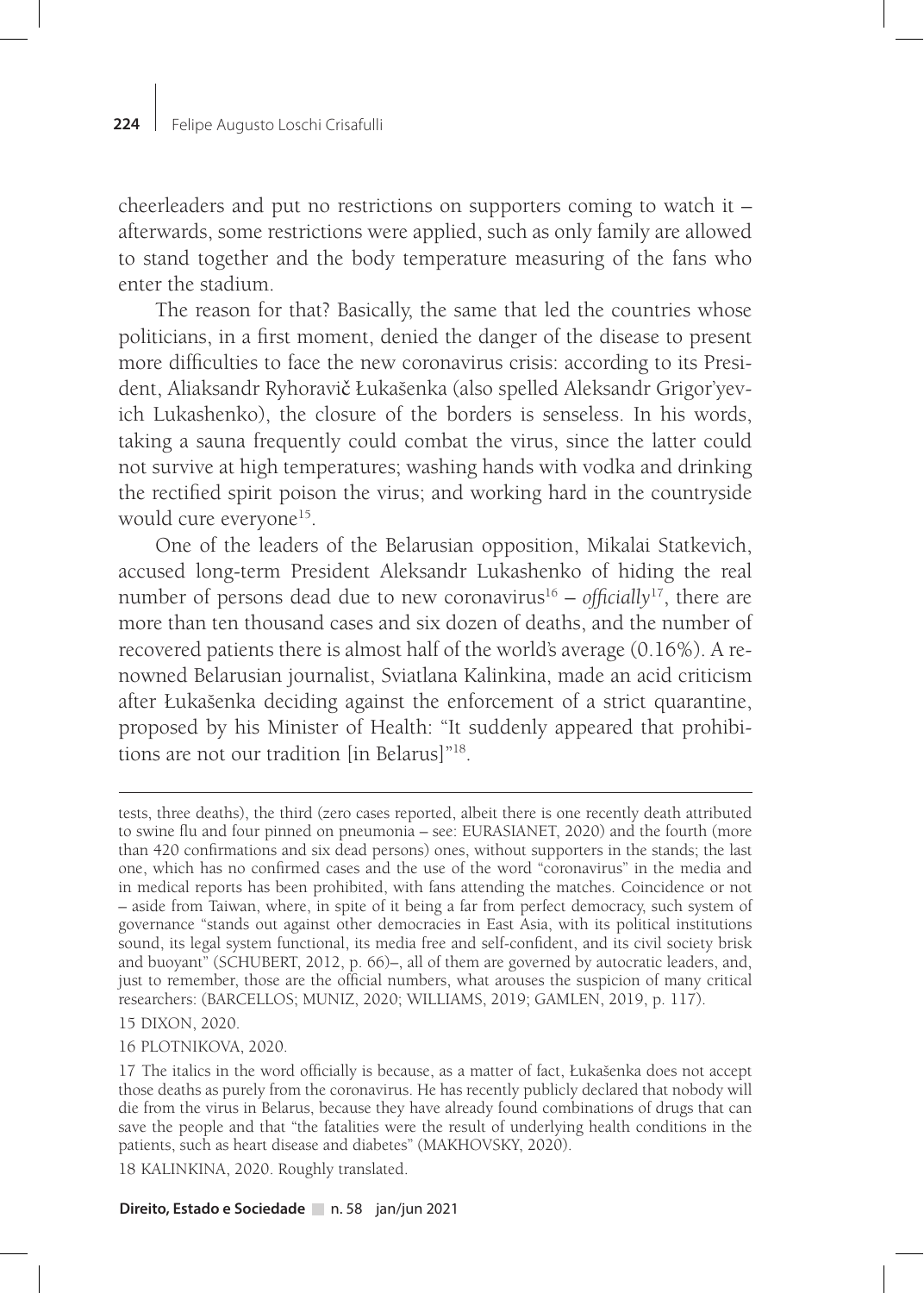cheerleaders and put no restrictions on supporters coming to watch it – afterwards, some restrictions were applied, such as only family are allowed to stand together and the body temperature measuring of the fans who enter the stadium.

The reason for that? Basically, the same that led the countries whose politicians, in a first moment, denied the danger of the disease to present more difficulties to face the new coronavirus crisis: according to its President, Aliaksandr Ryhoravič Łukašenka (also spelled Aleksandr Grigor'yevich Lukashenko), the closure of the borders is senseless. In his words, taking a sauna frequently could combat the virus, since the latter could not survive at high temperatures; washing hands with vodka and drinking the rectified spirit poison the virus; and working hard in the countryside would cure everyone<sup>15</sup>.

One of the leaders of the Belarusian opposition, Mikalai Statkevich, accused long-term President Aleksandr Lukashenko of hiding the real number of persons dead due to new coronavirus<sup>16</sup> – *officially*<sup>17</sup>, there are more than ten thousand cases and six dozen of deaths, and the number of recovered patients there is almost half of the world's average (0.16%). A renowned Belarusian journalist, Sviatlana Kalinkina, made an acid criticism after Łukašenka deciding against the enforcement of a strict quarantine, proposed by his Minister of Health: "It suddenly appeared that prohibitions are not our tradition [in Belarus]"18.

15 DIXON, 2020.

16 PLOTNIKOVA, 2020.

18 KALINKINA, 2020. Roughly translated.

tests, three deaths), the third (zero cases reported, albeit there is one recently death attributed to swine flu and four pinned on pneumonia – see: EURASIANET, 2020) and the fourth (more than 420 confirmations and six dead persons) ones, without supporters in the stands; the last one, which has no confirmed cases and the use of the word "coronavirus" in the media and in medical reports has been prohibited, with fans attending the matches. Coincidence or not – aside from Taiwan, where, in spite of it being a far from perfect democracy, such system of governance "stands out against other democracies in East Asia, with its political institutions sound, its legal system functional, its media free and self-confident, and its civil society brisk and buoyant" (SCHUBERT, 2012, p. 66)–, all of them are governed by autocratic leaders, and, just to remember, those are the official numbers, what arouses the suspicion of many critical researchers: (BARCELLOS; MUNIZ, 2020; WILLIAMS, 2019; GAMLEN, 2019, p. 117).

<sup>17</sup> The italics in the word officially is because, as a matter of fact, Łukašenka does not accept those deaths as purely from the coronavirus. He has recently publicly declared that nobody will die from the virus in Belarus, because they have already found combinations of drugs that can save the people and that "the fatalities were the result of underlying health conditions in the patients, such as heart disease and diabetes" (MAKHOVSKY, 2020).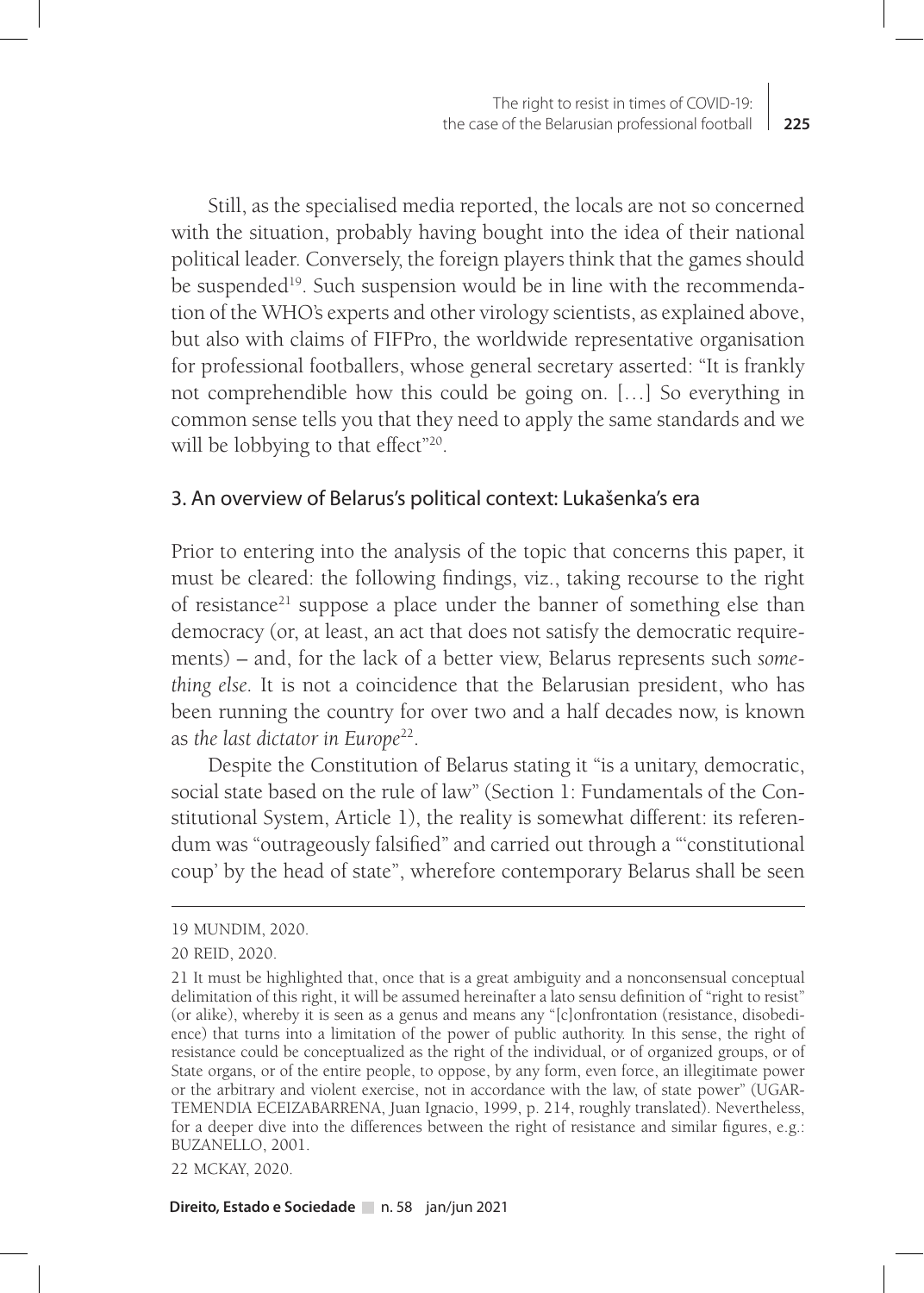Still, as the specialised media reported, the locals are not so concerned with the situation, probably having bought into the idea of their national political leader. Conversely, the foreign players think that the games should be suspended<sup>19</sup>. Such suspension would be in line with the recommendation of the WHO's experts and other virology scientists, as explained above, but also with claims of FIFPro, the worldwide representative organisation for professional footballers, whose general secretary asserted: "It is frankly not comprehendible how this could be going on. […] So everything in common sense tells you that they need to apply the same standards and we will be lobbying to that effect"<sup>20</sup>.

### 3. An overview of Belarus's political context: Lukašenka's era

Prior to entering into the analysis of the topic that concerns this paper, it must be cleared: the following findings, viz., taking recourse to the right of resistance<sup>21</sup> suppose a place under the banner of something else than democracy (or, at least, an act that does not satisfy the democratic requirements) – and, for the lack of a better view, Belarus represents such *something else.* It is not a coincidence that the Belarusian president, who has been running the country for over two and a half decades now, is known as *the last dictator in Europe*22.

Despite the Constitution of Belarus stating it "is a unitary, democratic, social state based on the rule of law" (Section 1: Fundamentals of the Constitutional System, Article 1), the reality is somewhat different: its referendum was "outrageously falsified" and carried out through a "'constitutional coup' by the head of state", wherefore contemporary Belarus shall be seen

22 MCKAY, 2020.

<sup>19</sup> MUNDIM, 2020.

<sup>20</sup> REID, 2020.

<sup>21</sup> It must be highlighted that, once that is a great ambiguity and a nonconsensual conceptual delimitation of this right, it will be assumed hereinafter a lato sensu definition of "right to resist" (or alike), whereby it is seen as a genus and means any "[c]onfrontation (resistance, disobedience) that turns into a limitation of the power of public authority. In this sense, the right of resistance could be conceptualized as the right of the individual, or of organized groups, or of State organs, or of the entire people, to oppose, by any form, even force, an illegitimate power or the arbitrary and violent exercise, not in accordance with the law, of state power" (UGAR-TEMENDIA ECEIZABARRENA, Juan Ignacio, 1999, p. 214, roughly translated). Nevertheless, for a deeper dive into the differences between the right of resistance and similar figures, e.g.: BUZANELLO, 2001.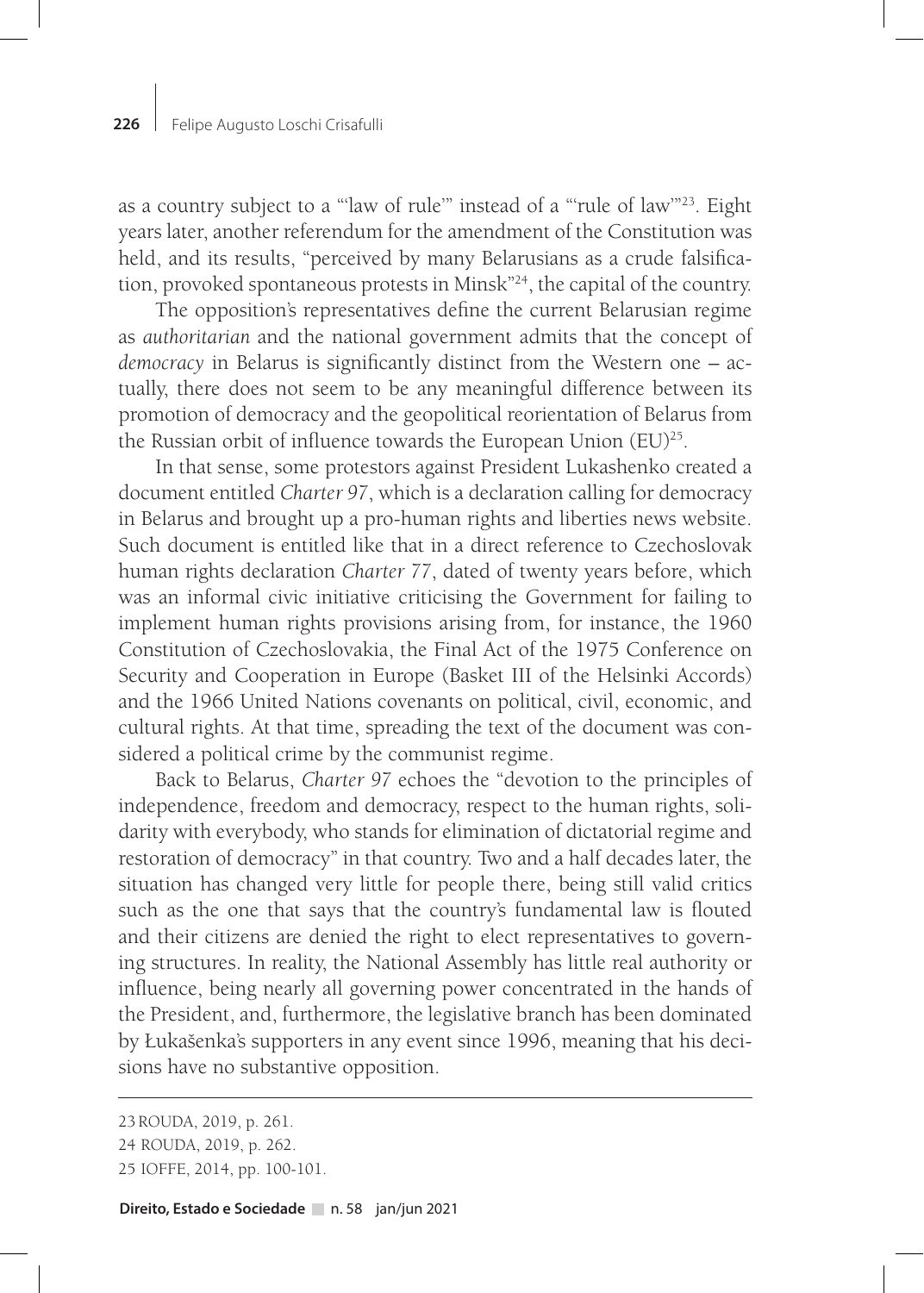as a country subject to a "'law of rule'" instead of a "'rule of law'"23. Eight years later, another referendum for the amendment of the Constitution was held, and its results, "perceived by many Belarusians as a crude falsification, provoked spontaneous protests in Minsk"24, the capital of the country.

The opposition's representatives define the current Belarusian regime as *authoritarian* and the national government admits that the concept of *democracy* in Belarus is significantly distinct from the Western one – actually, there does not seem to be any meaningful difference between its promotion of democracy and the geopolitical reorientation of Belarus from the Russian orbit of influence towards the European Union  $(EU)^{25}$ .

In that sense, some protestors against President Lukashenko created a document entitled *Charter 97*, which is a declaration calling for democracy in Belarus and brought up a pro-human rights and liberties news website. Such document is entitled like that in a direct reference to Czechoslovak human rights declaration *Charter 77*, dated of twenty years before, which was an informal civic initiative criticising the Government for failing to implement human rights provisions arising from, for instance, the 1960 Constitution of Czechoslovakia, the Final Act of the 1975 Conference on Security and Cooperation in Europe (Basket III of the Helsinki Accords) and the 1966 United Nations covenants on political, civil, economic, and cultural rights. At that time, spreading the text of the document was considered a political crime by the communist regime.

Back to Belarus, *Charter 97* echoes the "devotion to the principles of independence, freedom and democracy, respect to the human rights, solidarity with everybody, who stands for elimination of dictatorial regime and restoration of democracy" in that country. Two and a half decades later, the situation has changed very little for people there, being still valid critics such as the one that says that the country's fundamental law is flouted and their citizens are denied the right to elect representatives to governing structures. In reality, the National Assembly has little real authority or influence, being nearly all governing power concentrated in the hands of the President, and, furthermore, the legislative branch has been dominated by Łukašenka's supporters in any event since 1996, meaning that his decisions have no substantive opposition.

25 IOFFE, 2014, pp. 100-101.

<sup>23</sup> ROUDA, 2019, p. 261.

<sup>24</sup> ROUDA, 2019, p. 262.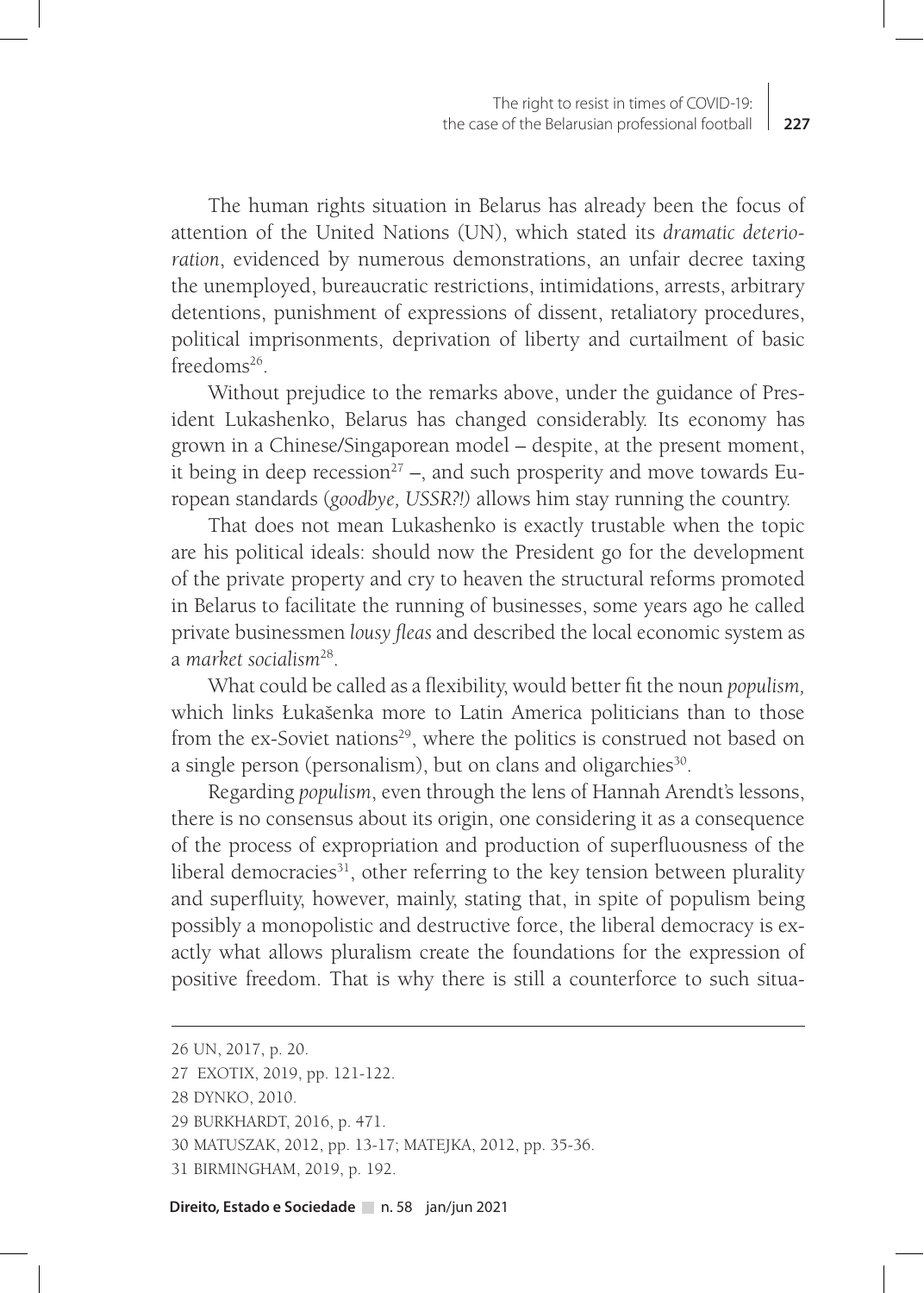The human rights situation in Belarus has already been the focus of attention of the United Nations (UN), which stated its *dramatic deterioration*, evidenced by numerous demonstrations, an unfair decree taxing the unemployed, bureaucratic restrictions, intimidations, arrests, arbitrary detentions, punishment of expressions of dissent, retaliatory procedures, political imprisonments, deprivation of liberty and curtailment of basic freedoms26.

Without prejudice to the remarks above, under the guidance of President Lukashenko, Belarus has changed considerably. Its economy has grown in a Chinese/Singaporean model – despite, at the present moment, it being in deep recession<sup>27</sup> –, and such prosperity and move towards European standards (*goodbye, USSR?!)* allows him stay running the country.

That does not mean Lukashenko is exactly trustable when the topic are his political ideals: should now the President go for the development of the private property and cry to heaven the structural reforms promoted in Belarus to facilitate the running of businesses, some years ago he called private businessmen *lousy fleas* and described the local economic system as a *market socialism*28.

What could be called as a flexibility, would better fit the noun *populism,*  which links Łukašenka more to Latin America politicians than to those from the ex-Soviet nations<sup>29</sup>, where the politics is construed not based on a single person (personalism), but on clans and oligarchies<sup>30</sup>.

Regarding *populism*, even through the lens of Hannah Arendt's lessons, there is no consensus about its origin, one considering it as a consequence of the process of expropriation and production of superfluousness of the liberal democracies $31$ , other referring to the key tension between plurality and superfluity, however, mainly, stating that, in spite of populism being possibly a monopolistic and destructive force, the liberal democracy is exactly what allows pluralism create the foundations for the expression of positive freedom. That is why there is still a counterforce to such situa-

<sup>26</sup> UN, 2017, p. 20.

<sup>27</sup> EXOTIX, 2019, pp. 121-122.

<sup>28</sup> DYNKO, 2010.

<sup>29</sup> BURKHARDT, 2016, p. 471.

<sup>30</sup> MATUSZAK, 2012, pp. 13-17; MATEJKA, 2012, pp. 35-36.

<sup>31</sup> BIRMINGHAM, 2019, p. 192.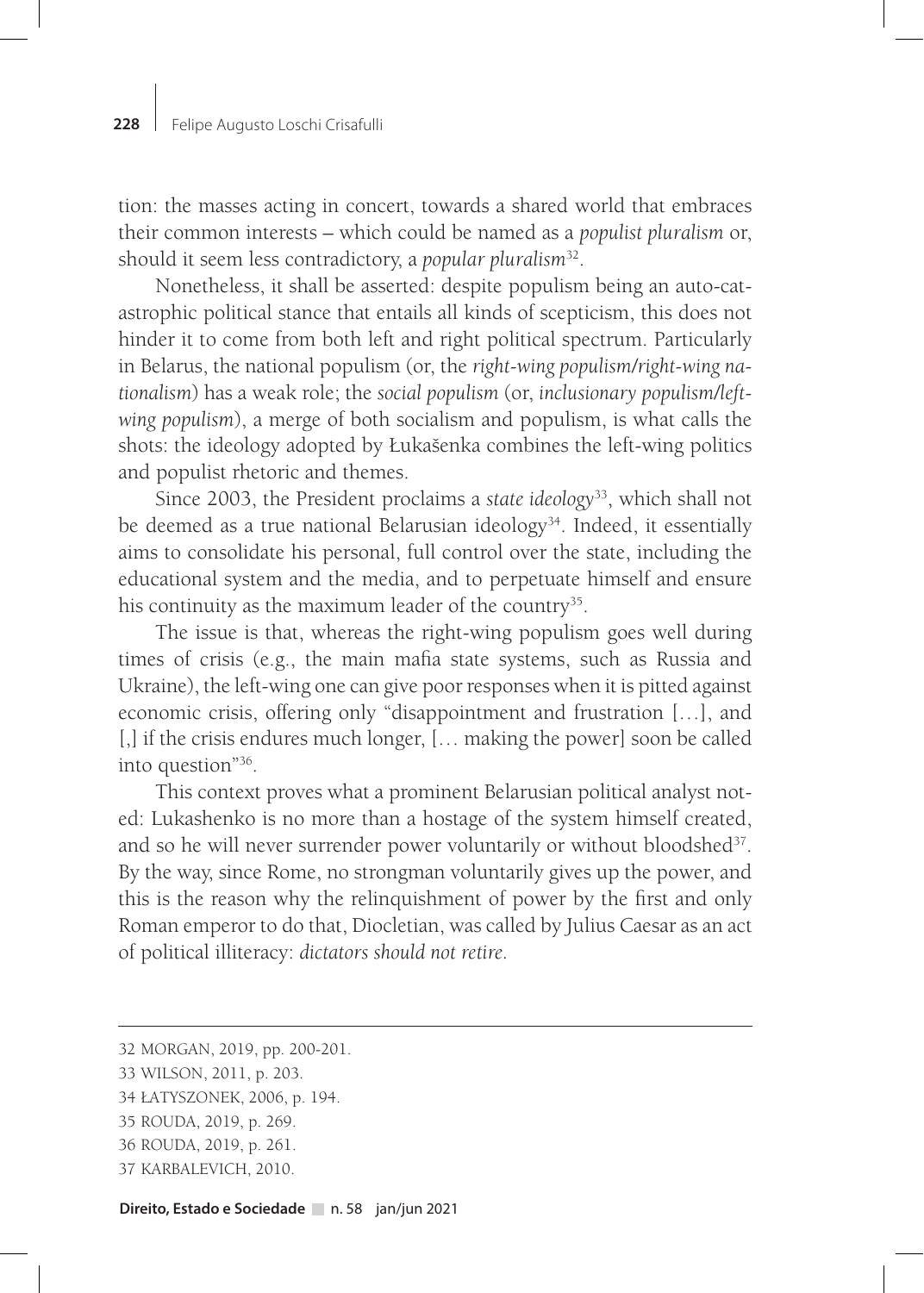tion: the masses acting in concert, towards a shared world that embraces their common interests – which could be named as a *populist pluralism* or, should it seem less contradictory, a *popular pluralism*32.

Nonetheless, it shall be asserted: despite populism being an auto-catastrophic political stance that entails all kinds of scepticism, this does not hinder it to come from both left and right political spectrum. Particularly in Belarus, the national populism (or, the *right-wing populism/right-wing nationalism*) has a weak role; the *social populism* (or, *inclusionary populism/leftwing populism*), a merge of both socialism and populism, is what calls the shots: the ideology adopted by Łukašenka combines the left-wing politics and populist rhetoric and themes.

Since 2003, the President proclaims a *state ideology*33, which shall not be deemed as a true national Belarusian ideology<sup>34</sup>. Indeed, it essentially aims to consolidate his personal, full control over the state, including the educational system and the media, and to perpetuate himself and ensure his continuity as the maximum leader of the country<sup>35</sup>.

The issue is that, whereas the right-wing populism goes well during times of crisis (e.g., the main mafia state systems, such as Russia and Ukraine), the left-wing one can give poor responses when it is pitted against economic crisis, offering only "disappointment and frustration […], and [,] if the crisis endures much longer, [... making the power] soon be called into question"36.

This context proves what a prominent Belarusian political analyst noted: Lukashenko is no more than a hostage of the system himself created, and so he will never surrender power voluntarily or without bloodshed<sup>37</sup>. By the way, since Rome, no strongman voluntarily gives up the power, and this is the reason why the relinquishment of power by the first and only Roman emperor to do that, Diocletian, was called by Julius Caesar as an act of political illiteracy: *dictators should not retire.*

<sup>32</sup> MORGAN, 2019, pp. 200-201.

<sup>33</sup> WILSON, 2011, p. 203.

<sup>34</sup> ŁATYSZONEK, 2006, p. 194.

<sup>35</sup> ROUDA, 2019, p. 269.

<sup>36</sup> ROUDA, 2019, p. 261.

<sup>37</sup> KARBALEVICH, 2010.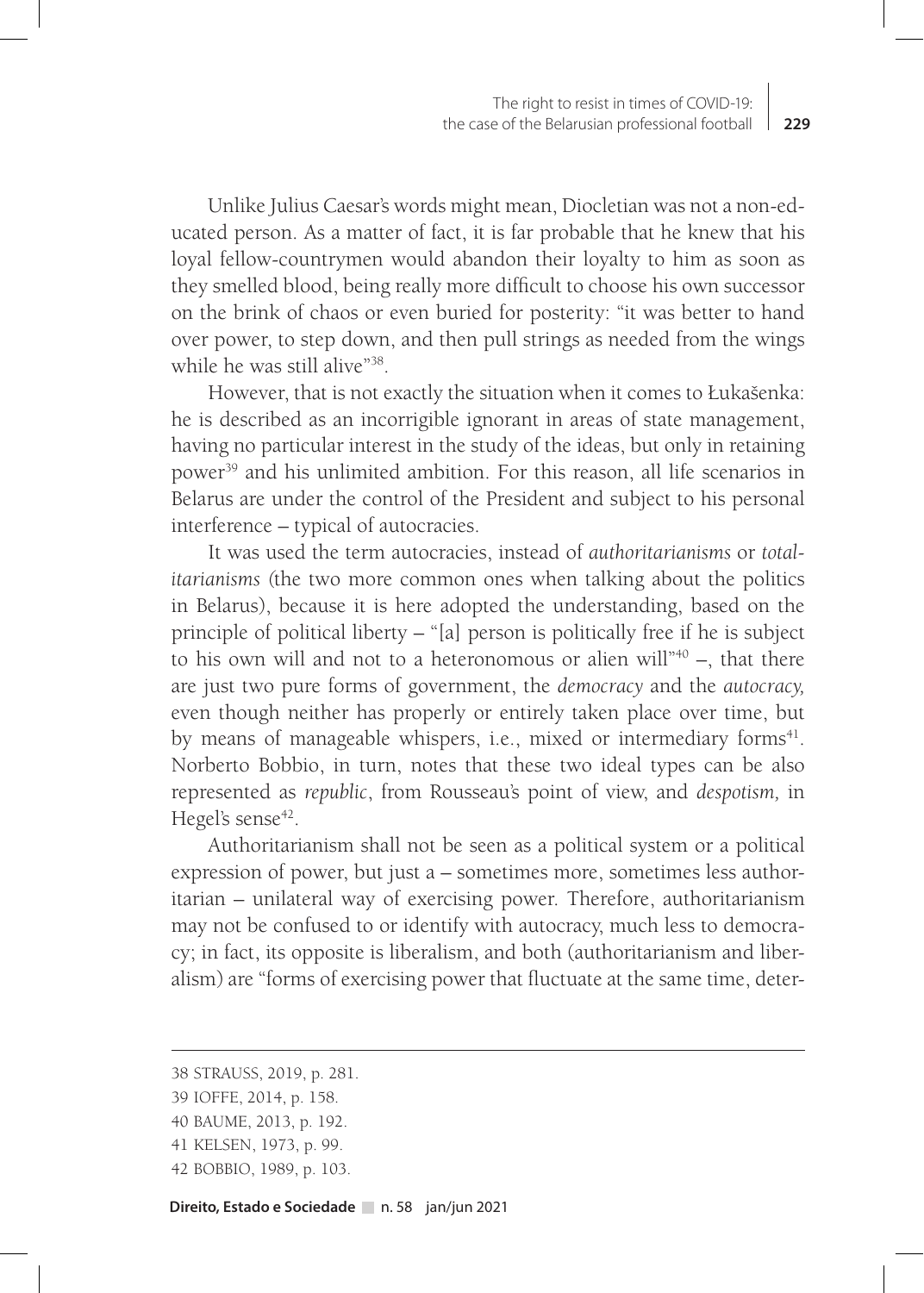Unlike Julius Caesar's words might mean, Diocletian was not a non-educated person. As a matter of fact, it is far probable that he knew that his loyal fellow-countrymen would abandon their loyalty to him as soon as they smelled blood, being really more difficult to choose his own successor on the brink of chaos or even buried for posterity: "it was better to hand over power, to step down, and then pull strings as needed from the wings while he was still alive"<sup>38</sup>.

However, that is not exactly the situation when it comes to Łukašenka: he is described as an incorrigible ignorant in areas of state management, having no particular interest in the study of the ideas, but only in retaining power<sup>39</sup> and his unlimited ambition. For this reason, all life scenarios in Belarus are under the control of the President and subject to his personal interference – typical of autocracies.

It was used the term autocracies, instead of *authoritarianisms* or *totalitarianisms (*the two more common ones when talking about the politics in Belarus), because it is here adopted the understanding, based on the principle of political liberty – "[a] person is politically free if he is subject to his own will and not to a heteronomous or alien will" $40 -$ , that there are just two pure forms of government, the *democracy* and the *autocracy,* even though neither has properly or entirely taken place over time, but by means of manageable whispers, i.e., mixed or intermediary forms<sup>41</sup>. Norberto Bobbio, in turn, notes that these two ideal types can be also represented as *republic*, from Rousseau's point of view, and *despotism,* in Hegel's sense $42$ .

Authoritarianism shall not be seen as a political system or a political expression of power, but just a – sometimes more, sometimes less authoritarian – unilateral way of exercising power. Therefore, authoritarianism may not be confused to or identify with autocracy, much less to democracy; in fact, its opposite is liberalism, and both (authoritarianism and liberalism) are "forms of exercising power that fluctuate at the same time, deter-

<sup>38</sup> STRAUSS, 2019, p. 281.

<sup>39</sup> IOFFE, 2014, p. 158.

<sup>40</sup> BAUME, 2013, p. 192.

<sup>41</sup> KELSEN, 1973, p. 99.

<sup>42</sup> BOBBIO, 1989, p. 103.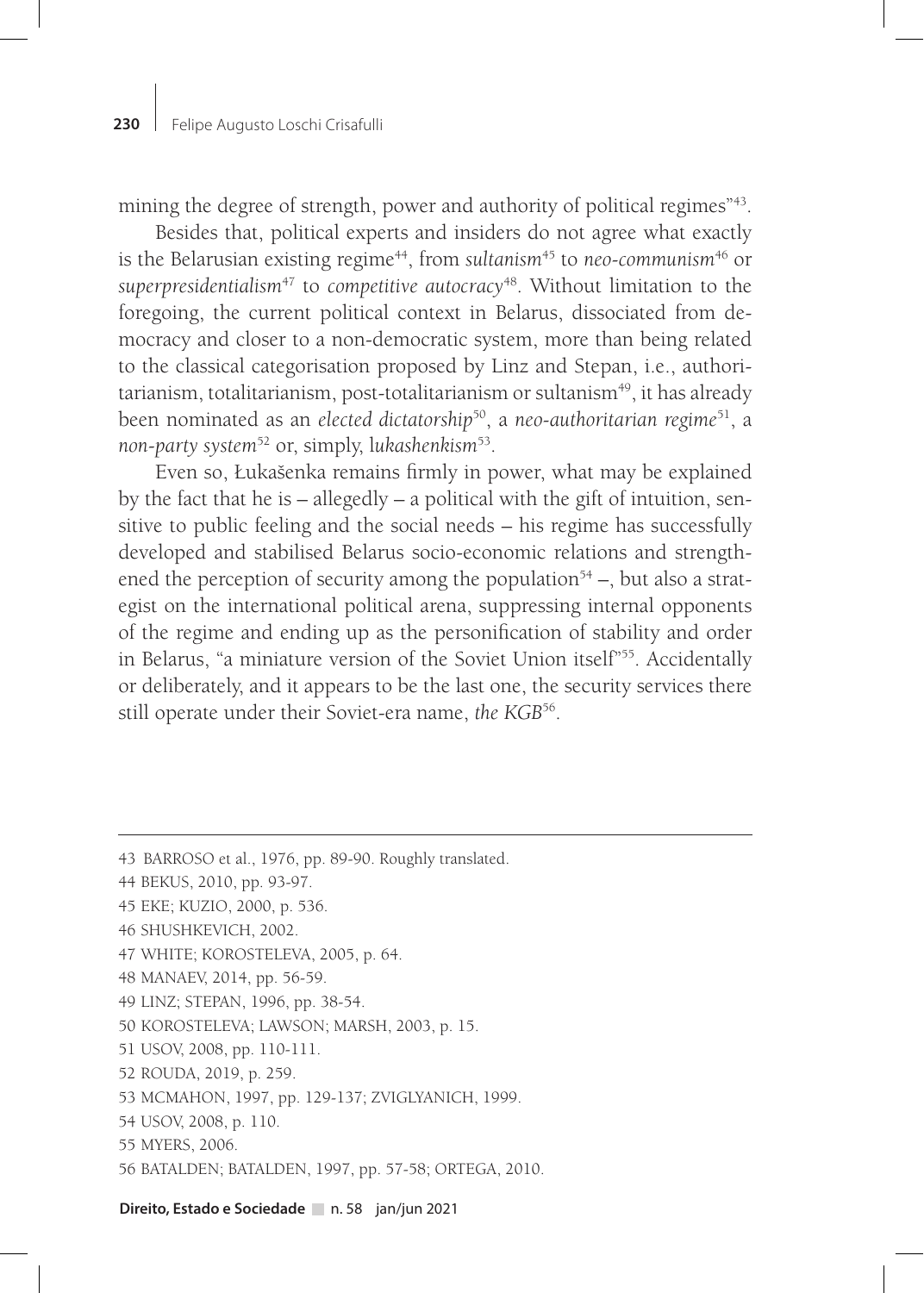mining the degree of strength, power and authority of political regimes<sup>"43</sup>.

Besides that, political experts and insiders do not agree what exactly is the Belarusian existing regime<sup>44</sup>, from *sultanism*<sup>45</sup> to *neo-communism*<sup>46</sup> or *superpresidentialism*47 to *competitive autocracy*48. Without limitation to the foregoing, the current political context in Belarus, dissociated from democracy and closer to a non-democratic system, more than being related to the classical categorisation proposed by Linz and Stepan, i.e., authoritarianism, totalitarianism, post-totalitarianism or sultanism<sup>49</sup>, it has already been nominated as an *elected dictatorship*50, a *neo-authoritarian regime*51, a *non-party system*52 or, simply, l*ukashenkism*53.

Even so, Łukašenka remains firmly in power, what may be explained by the fact that he is – allegedly – a political with the gift of intuition, sensitive to public feeling and the social needs – his regime has successfully developed and stabilised Belarus socio-economic relations and strengthened the perception of security among the population<sup>54</sup> –, but also a strategist on the international political arena, suppressing internal opponents of the regime and ending up as the personification of stability and order in Belarus, "a miniature version of the Soviet Union itself"<sup>55</sup>. Accidentally or deliberately, and it appears to be the last one, the security services there still operate under their Soviet-era name, *the KGB*56.

- 48 MANAEV, 2014, pp. 56-59.
- 49 LINZ; STEPAN, 1996, pp. 38-54.
- 50 KOROSTELEVA; LAWSON; MARSH, 2003, p. 15.
- 51 USOV, 2008, pp. 110-111.
- 52 ROUDA, 2019, p. 259.
- 53 MCMAHON, 1997, pp. 129-137; ZVIGLYANICH, 1999.
- 54 USOV, 2008, p. 110.
- 55 MYERS, 2006.
- 56 BATALDEN; BATALDEN, 1997, pp. 57-58; ORTEGA, 2010.

<sup>43</sup> BARROSO et al., 1976, pp. 89-90. Roughly translated.

<sup>44</sup> BEKUS, 2010, pp. 93-97.

<sup>45</sup> EKE; KUZIO, 2000, p. 536.

<sup>46</sup> SHUSHKEVICH, 2002.

<sup>47</sup> WHITE; KOROSTELEVA, 2005, p. 64.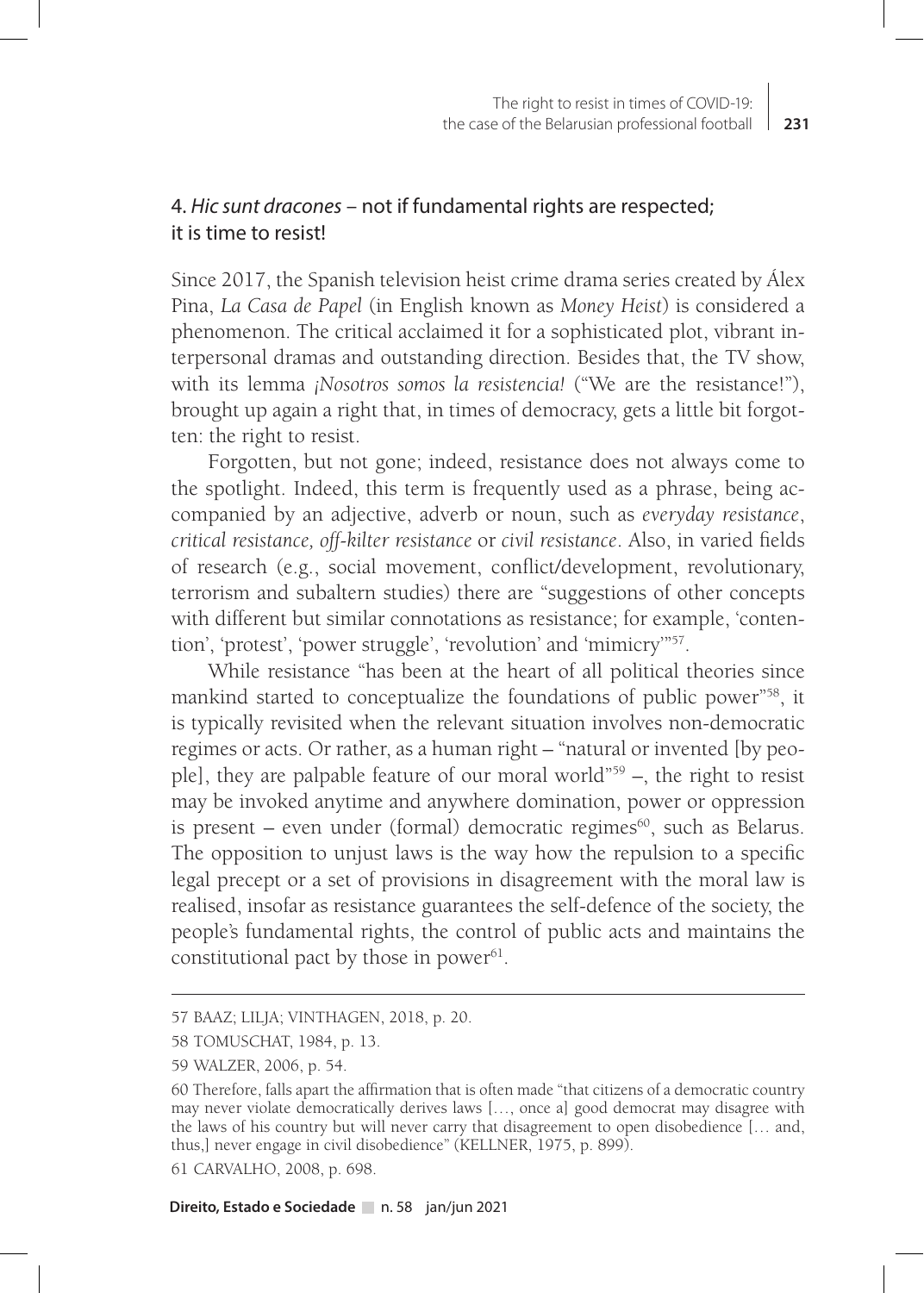# 4. *Hic sunt dracones* – not if fundamental rights are respected; it is time to resist!

Since 2017, the Spanish television heist crime drama series created by Álex Pina, *La Casa de Papel* (in English known as *Money Heist*) is considered a phenomenon. The critical acclaimed it for a sophisticated plot, vibrant interpersonal dramas and outstanding direction. Besides that, the TV show, with its lemma *¡Nosotros somos la resistencia!* ("We are the resistance!"), brought up again a right that, in times of democracy, gets a little bit forgotten: the right to resist.

Forgotten, but not gone; indeed, resistance does not always come to the spotlight. Indeed, this term is frequently used as a phrase, being accompanied by an adjective, adverb or noun, such as *everyday resistance*, *critical resistance, off-kilter resistance* or *civil resistance*. Also, in varied fields of research (e.g., social movement, conflict/development, revolutionary, terrorism and subaltern studies) there are "suggestions of other concepts with different but similar connotations as resistance; for example, 'contention', 'protest', 'power struggle', 'revolution' and 'mimicry'"57.

While resistance "has been at the heart of all political theories since mankind started to conceptualize the foundations of public power"58, it is typically revisited when the relevant situation involves non-democratic regimes or acts. Or rather, as a human right – "natural or invented [by people], they are palpable feature of our moral world"59 –, the right to resist may be invoked anytime and anywhere domination, power or oppression is present – even under (formal) democratic regimes $60$ , such as Belarus. The opposition to unjust laws is the way how the repulsion to a specific legal precept or a set of provisions in disagreement with the moral law is realised, insofar as resistance guarantees the self-defence of the society, the people's fundamental rights, the control of public acts and maintains the constitutional pact by those in power $61$ .

<sup>57</sup> BAAZ; LILJA; VINTHAGEN, 2018, p. 20.

<sup>58</sup> TOMUSCHAT, 1984, p. 13.

<sup>59</sup> WALZER, 2006, p. 54.

<sup>60</sup> Therefore, falls apart the affirmation that is often made "that citizens of a democratic country may never violate democratically derives laws […, once a] good democrat may disagree with the laws of his country but will never carry that disagreement to open disobedience [… and, thus,] never engage in civil disobedience" (KELLNER, 1975, p. 899).

<sup>61</sup> CARVALHO, 2008, p. 698.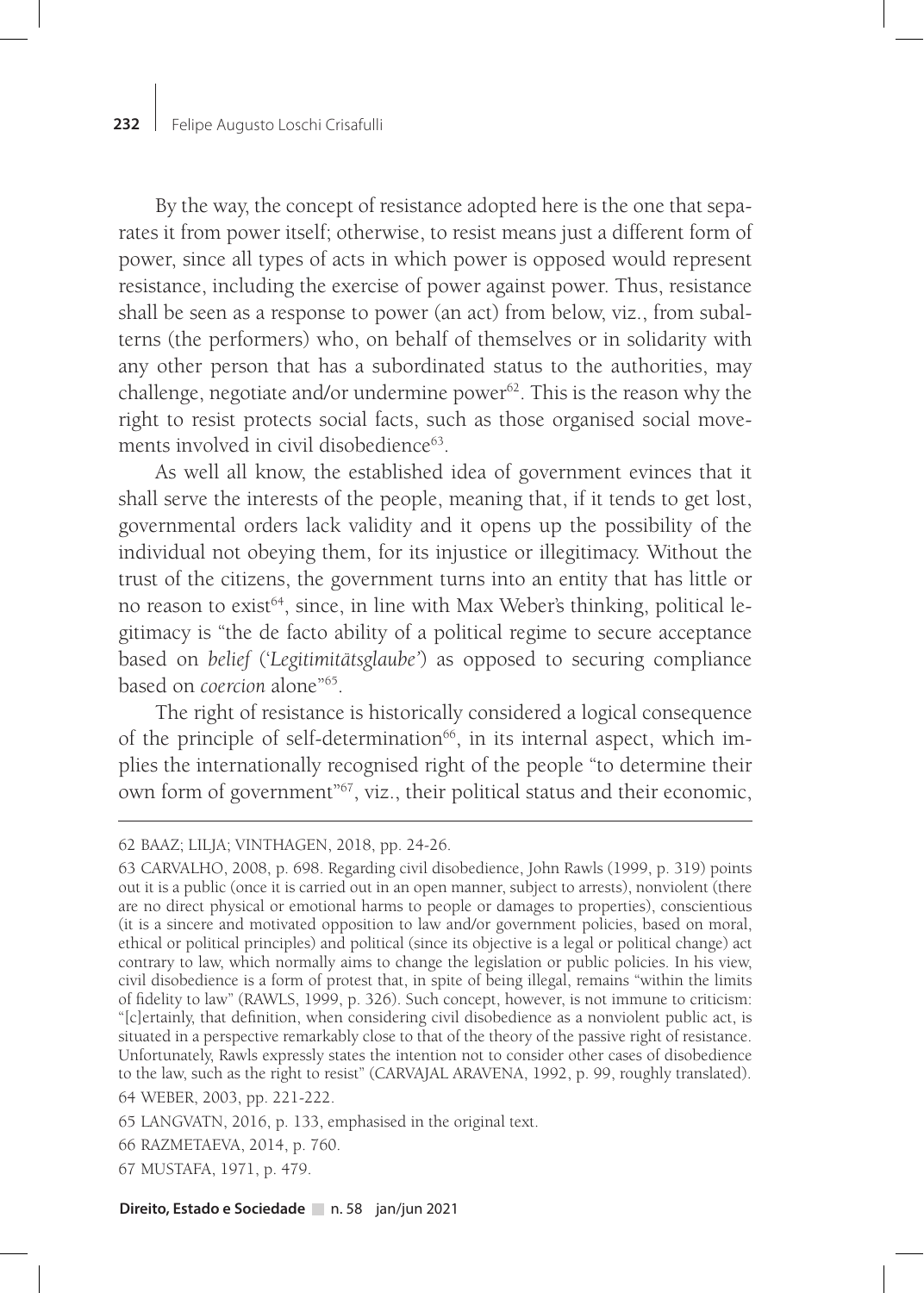By the way, the concept of resistance adopted here is the one that separates it from power itself; otherwise, to resist means just a different form of power, since all types of acts in which power is opposed would represent resistance, including the exercise of power against power. Thus, resistance shall be seen as a response to power (an act) from below, viz., from subalterns (the performers) who, on behalf of themselves or in solidarity with any other person that has a subordinated status to the authorities, may challenge, negotiate and/or undermine power $62$ . This is the reason why the right to resist protects social facts, such as those organised social movements involved in civil disobedience<sup>63</sup>.

As well all know, the established idea of government evinces that it shall serve the interests of the people, meaning that, if it tends to get lost, governmental orders lack validity and it opens up the possibility of the individual not obeying them, for its injustice or illegitimacy. Without the trust of the citizens, the government turns into an entity that has little or no reason to exist<sup>64</sup>, since, in line with Max Weber's thinking, political legitimacy is "the de facto ability of a political regime to secure acceptance based on *belief* ('*Legitimitätsglaube'*) as opposed to securing compliance based on *coercion* alone"65.

The right of resistance is historically considered a logical consequence of the principle of self-determination<sup>66</sup>, in its internal aspect, which implies the internationally recognised right of the people "to determine their own form of government"67, viz., their political status and their economic,

<sup>62</sup> BAAZ; LILJA; VINTHAGEN, 2018, pp. 24-26.

<sup>63</sup> CARVALHO, 2008, p. 698. Regarding civil disobedience, John Rawls (1999, p. 319) points out it is a public (once it is carried out in an open manner, subject to arrests), nonviolent (there are no direct physical or emotional harms to people or damages to properties), conscientious (it is a sincere and motivated opposition to law and/or government policies, based on moral, ethical or political principles) and political (since its objective is a legal or political change) act contrary to law, which normally aims to change the legislation or public policies. In his view, civil disobedience is a form of protest that, in spite of being illegal, remains "within the limits of fidelity to law" (RAWLS, 1999, p. 326). Such concept, however, is not immune to criticism: "[c]ertainly, that definition, when considering civil disobedience as a nonviolent public act, is situated in a perspective remarkably close to that of the theory of the passive right of resistance. Unfortunately, Rawls expressly states the intention not to consider other cases of disobedience to the law, such as the right to resist" (CARVAJAL ARAVENA, 1992, p. 99, roughly translated). 64 WEBER, 2003, pp. 221-222.

<sup>65</sup> LANGVATN, 2016, p. 133, emphasised in the original text.

<sup>66</sup> RAZMETAEVA, 2014, p. 760.

<sup>67</sup> MUSTAFA, 1971, p. 479.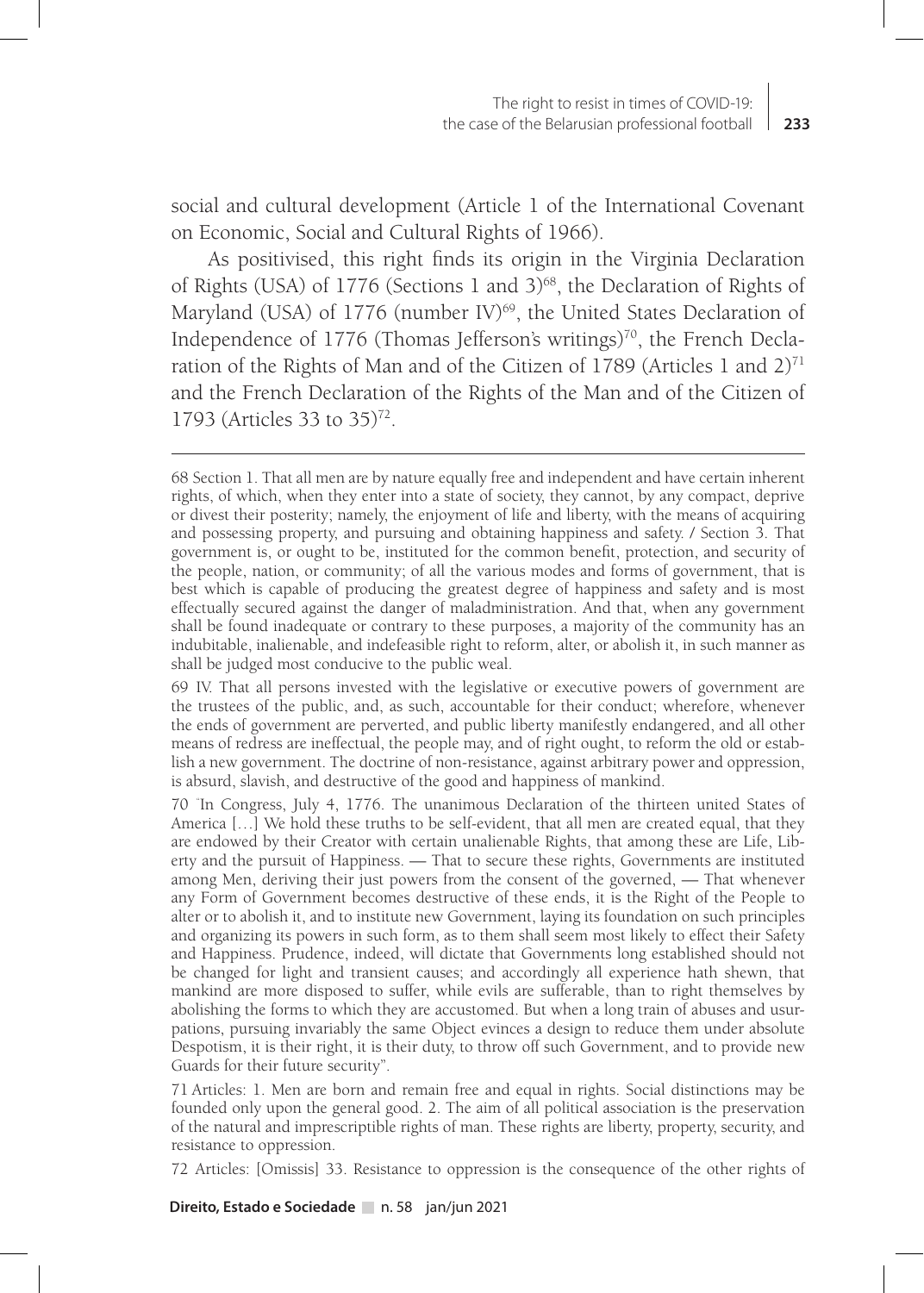social and cultural development (Article 1 of the International Covenant on Economic, Social and Cultural Rights of 1966).

As positivised, this right finds its origin in the Virginia Declaration of Rights (USA) of 1776 (Sections 1 and 3)<sup>68</sup>, the Declaration of Rights of Maryland (USA) of  $1776$  (number IV)<sup>69</sup>, the United States Declaration of Independence of 1776 (Thomas Jefferson's writings)<sup>70</sup>, the French Declaration of the Rights of Man and of the Citizen of 1789 (Articles 1 and 2)<sup>71</sup> and the French Declaration of the Rights of the Man and of the Citizen of 1793 (Articles 33 to 35)<sup>72</sup>.

69 IV. That all persons invested with the legislative or executive powers of government are the trustees of the public, and, as such, accountable for their conduct; wherefore, whenever the ends of government are perverted, and public liberty manifestly endangered, and all other means of redress are ineffectual, the people may, and of right ought, to reform the old or establish a new government. The doctrine of non-resistance, against arbitrary power and oppression, is absurd, slavish, and destructive of the good and happiness of mankind.

70 "In Congress, July 4, 1776. The unanimous Declaration of the thirteen united States of America […] We hold these truths to be self-evident, that all men are created equal, that they are endowed by their Creator with certain unalienable Rights, that among these are Life, Liberty and the pursuit of Happiness. — That to secure these rights, Governments are instituted among Men, deriving their just powers from the consent of the governed, — That whenever any Form of Government becomes destructive of these ends, it is the Right of the People to alter or to abolish it, and to institute new Government, laying its foundation on such principles and organizing its powers in such form, as to them shall seem most likely to effect their Safety and Happiness. Prudence, indeed, will dictate that Governments long established should not be changed for light and transient causes; and accordingly all experience hath shewn, that mankind are more disposed to suffer, while evils are sufferable, than to right themselves by abolishing the forms to which they are accustomed. But when a long train of abuses and usurpations, pursuing invariably the same Object evinces a design to reduce them under absolute Despotism, it is their right, it is their duty, to throw off such Government, and to provide new Guards for their future security".

71 Articles: 1. Men are born and remain free and equal in rights. Social distinctions may be founded only upon the general good. 2. The aim of all political association is the preservation of the natural and imprescriptible rights of man. These rights are liberty, property, security, and resistance to oppression.

72 Articles: [Omissis] 33. Resistance to oppression is the consequence of the other rights of

<sup>68</sup> Section 1. That all men are by nature equally free and independent and have certain inherent rights, of which, when they enter into a state of society, they cannot, by any compact, deprive or divest their posterity; namely, the enjoyment of life and liberty, with the means of acquiring and possessing property, and pursuing and obtaining happiness and safety. / Section 3. That government is, or ought to be, instituted for the common benefit, protection, and security of the people, nation, or community; of all the various modes and forms of government, that is best which is capable of producing the greatest degree of happiness and safety and is most effectually secured against the danger of maladministration. And that, when any government shall be found inadequate or contrary to these purposes, a majority of the community has an indubitable, inalienable, and indefeasible right to reform, alter, or abolish it, in such manner as shall be judged most conducive to the public weal.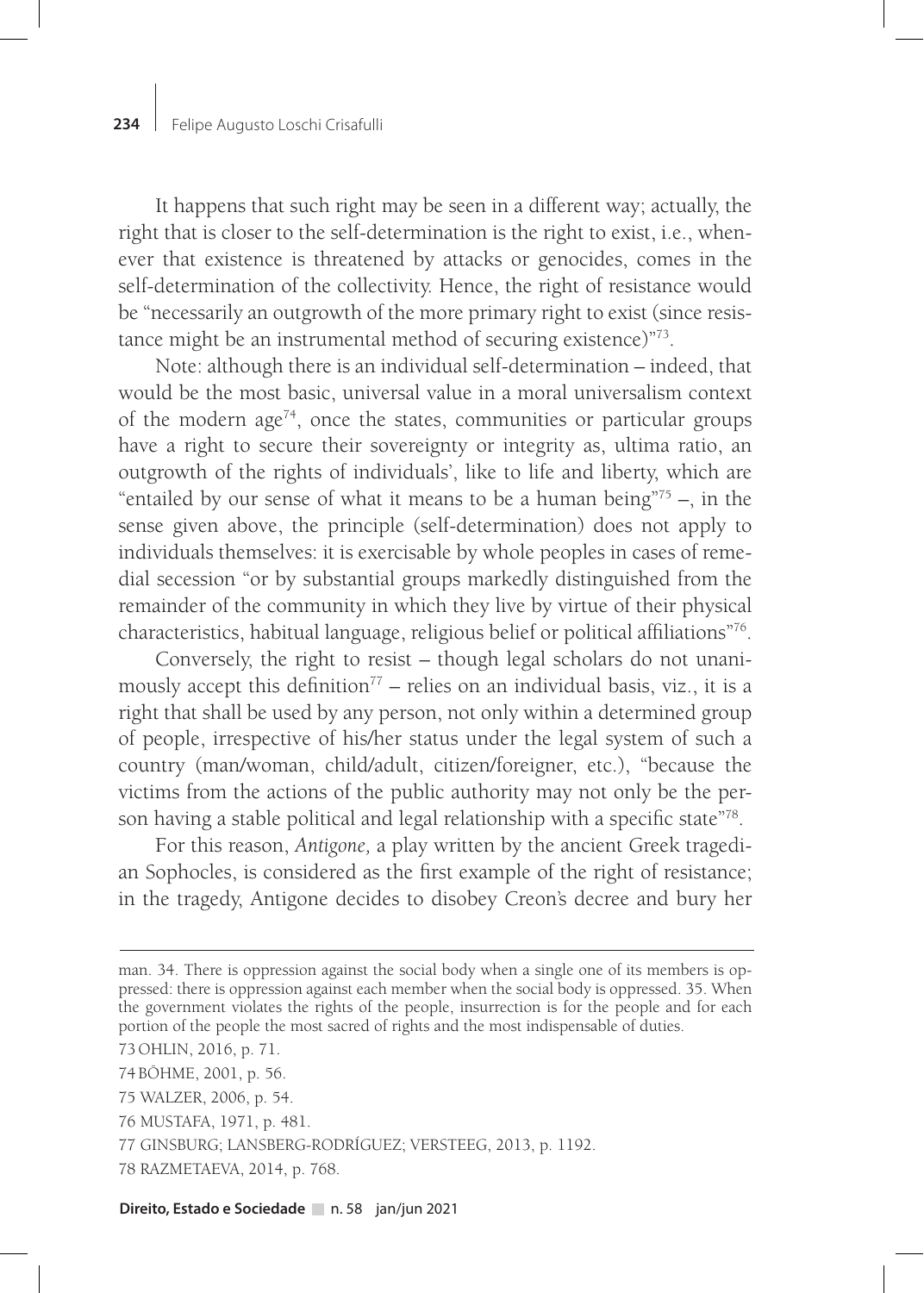It happens that such right may be seen in a different way; actually, the right that is closer to the self-determination is the right to exist, i.e., whenever that existence is threatened by attacks or genocides, comes in the self-determination of the collectivity. Hence, the right of resistance would be "necessarily an outgrowth of the more primary right to exist (since resistance might be an instrumental method of securing existence)"73.

Note: although there is an individual self-determination – indeed, that would be the most basic, universal value in a moral universalism context of the modern age<sup> $74$ </sup>, once the states, communities or particular groups have a right to secure their sovereignty or integrity as, ultima ratio, an outgrowth of the rights of individuals', like to life and liberty, which are "entailed by our sense of what it means to be a human being" $75 -$ , in the sense given above, the principle (self-determination) does not apply to individuals themselves: it is exercisable by whole peoples in cases of remedial secession "or by substantial groups markedly distinguished from the remainder of the community in which they live by virtue of their physical characteristics, habitual language, religious belief or political affiliations"76.

Conversely, the right to resist – though legal scholars do not unanimously accept this definition<sup> $77$ </sup> – relies on an individual basis, viz., it is a right that shall be used by any person, not only within a determined group of people, irrespective of his/her status under the legal system of such a country (man/woman, child/adult, citizen/foreigner, etc.), "because the victims from the actions of the public authority may not only be the person having a stable political and legal relationship with a specific state"<sup>78</sup>.

For this reason, *Antigone,* a play written by the ancient Greek tragedian Sophocles, is considered as the first example of the right of resistance; in the tragedy, Antigone decides to disobey Creon's decree and bury her

73 OHLIN, 2016, p. 71.

74 BÖHME, 2001, p. 56.

- 75 WALZER, 2006, p. 54.
- 76 MUSTAFA, 1971, p. 481.
- 77 GINSBURG; LANSBERG-RODRÍGUEZ; VERSTEEG, 2013, p. 1192.
- 78 RAZMETAEVA, 2014, p. 768.

man. 34. There is oppression against the social body when a single one of its members is oppressed: there is oppression against each member when the social body is oppressed. 35. When the government violates the rights of the people, insurrection is for the people and for each portion of the people the most sacred of rights and the most indispensable of duties.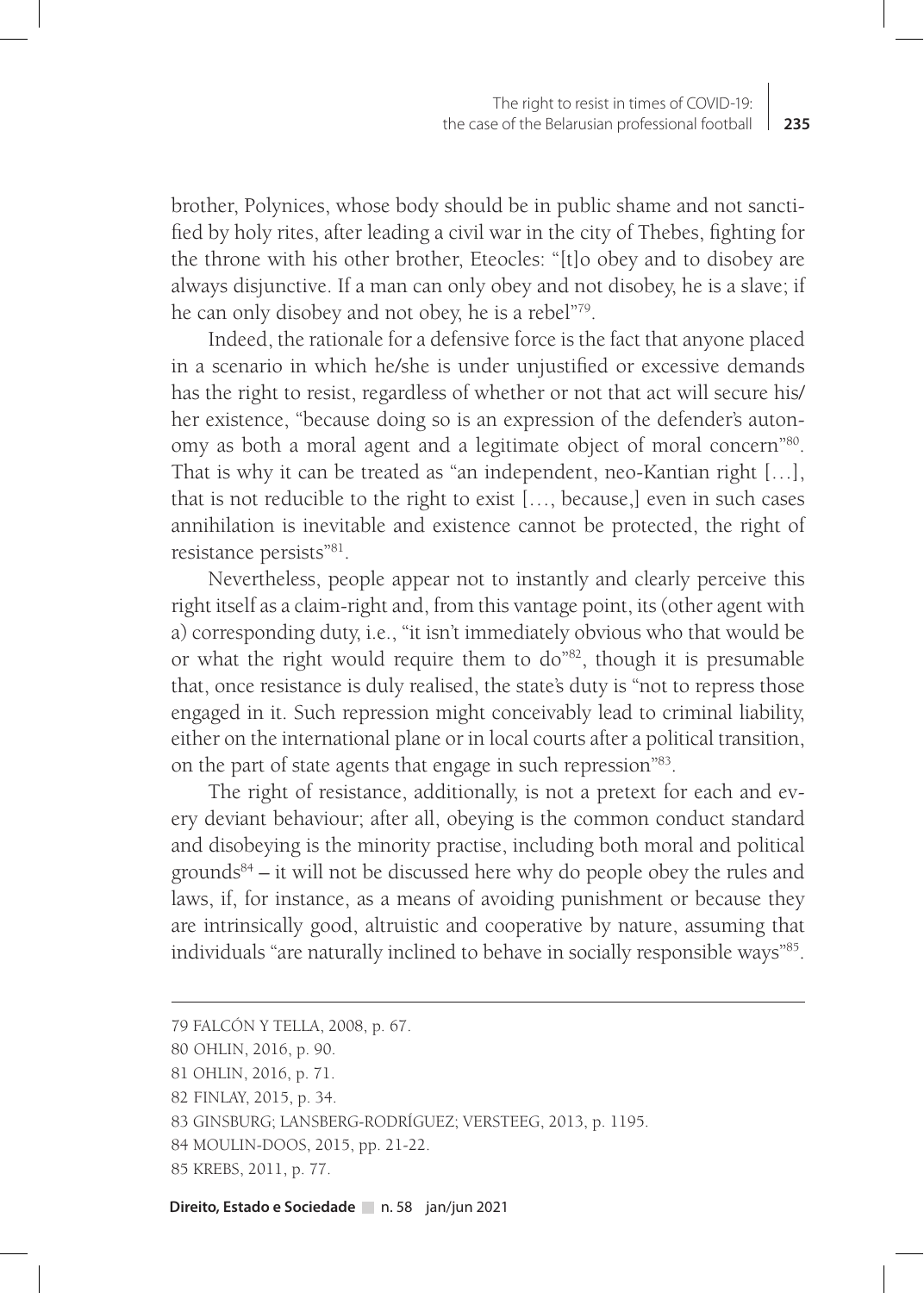brother, Polynices, whose body should be in public shame and not sanctified by holy rites, after leading a civil war in the city of Thebes, fighting for the throne with his other brother, Eteocles: "[t]o obey and to disobey are always disjunctive. If a man can only obey and not disobey, he is a slave; if he can only disobey and not obey, he is a rebel"79.

Indeed, the rationale for a defensive force is the fact that anyone placed in a scenario in which he/she is under unjustified or excessive demands has the right to resist, regardless of whether or not that act will secure his/ her existence, "because doing so is an expression of the defender's autonomy as both a moral agent and a legitimate object of moral concern"80. That is why it can be treated as "an independent, neo-Kantian right […], that is not reducible to the right to exist […, because,] even in such cases annihilation is inevitable and existence cannot be protected, the right of resistance persists"81.

Nevertheless, people appear not to instantly and clearly perceive this right itself as a claim-right and, from this vantage point, its (other agent with a) corresponding duty, i.e., "it isn't immediately obvious who that would be or what the right would require them to do"82, though it is presumable that, once resistance is duly realised, the state's duty is "not to repress those engaged in it. Such repression might conceivably lead to criminal liability, either on the international plane or in local courts after a political transition, on the part of state agents that engage in such repression"83.

The right of resistance, additionally, is not a pretext for each and every deviant behaviour; after all, obeying is the common conduct standard and disobeying is the minority practise, including both moral and political grounds<sup>84</sup> – it will not be discussed here why do people obey the rules and laws, if, for instance, as a means of avoiding punishment or because they are intrinsically good, altruistic and cooperative by nature, assuming that individuals "are naturally inclined to behave in socially responsible ways"85.

<sup>79</sup> FALCÓN Y TELLA, 2008, p. 67.

<sup>80</sup> OHLIN, 2016, p. 90.

<sup>81</sup> OHLIN, 2016, p. 71.

<sup>82</sup> FINLAY, 2015, p. 34.

<sup>83</sup> GINSBURG; LANSBERG-RODRÍGUEZ; VERSTEEG, 2013, p. 1195.

<sup>84</sup> MOULIN-DOOS, 2015, pp. 21-22.

<sup>85</sup> KREBS, 2011, p. 77.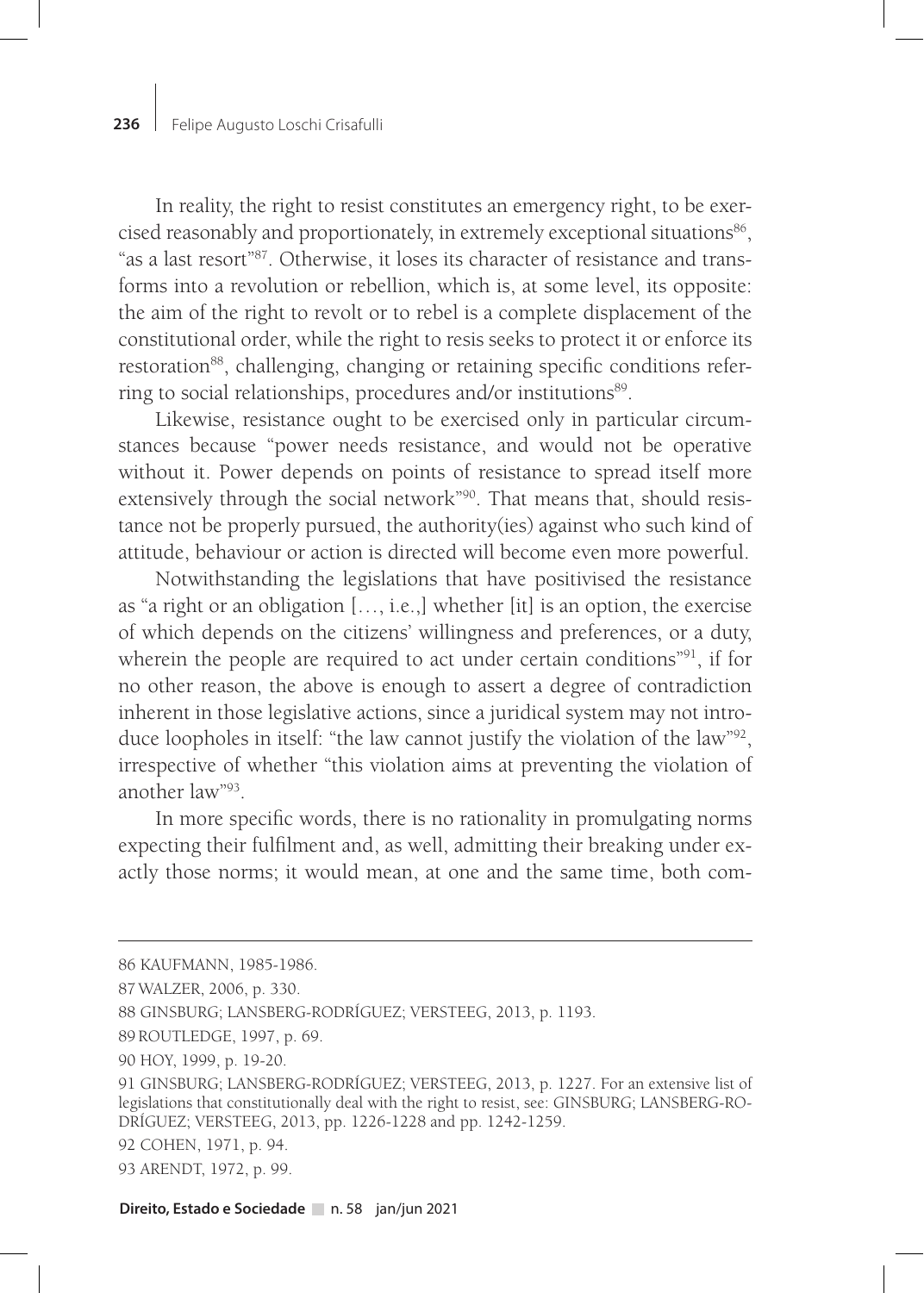In reality, the right to resist constitutes an emergency right, to be exercised reasonably and proportionately, in extremely exceptional situations<sup>86</sup>, "as a last resort"87. Otherwise, it loses its character of resistance and transforms into a revolution or rebellion, which is, at some level, its opposite: the aim of the right to revolt or to rebel is a complete displacement of the constitutional order, while the right to resis seeks to protect it or enforce its restoration<sup>88</sup>, challenging, changing or retaining specific conditions referring to social relationships, procedures and/or institutions<sup>89</sup>.

Likewise, resistance ought to be exercised only in particular circumstances because "power needs resistance, and would not be operative without it. Power depends on points of resistance to spread itself more extensively through the social network"<sup>90</sup>. That means that, should resistance not be properly pursued, the authority(ies) against who such kind of attitude, behaviour or action is directed will become even more powerful.

Notwithstanding the legislations that have positivised the resistance as "a right or an obligation […, i.e.,] whether [it] is an option, the exercise of which depends on the citizens' willingness and preferences, or a duty, wherein the people are required to act under certain conditions"<sup>91</sup>, if for no other reason, the above is enough to assert a degree of contradiction inherent in those legislative actions, since a juridical system may not introduce loopholes in itself: "the law cannot justify the violation of the law"92, irrespective of whether "this violation aims at preventing the violation of another law"93.

In more specific words, there is no rationality in promulgating norms expecting their fulfilment and, as well, admitting their breaking under exactly those norms; it would mean, at one and the same time, both com-

<sup>86</sup> KAUFMANN, 1985-1986.

<sup>87</sup>WALZER, 2006, p. 330.

<sup>88</sup> GINSBURG; LANSBERG-RODRÍGUEZ; VERSTEEG, 2013, p. 1193.

<sup>89</sup> ROUTLEDGE, 1997, p. 69.

<sup>90</sup> HOY, 1999, p. 19-20.

<sup>91</sup> GINSBURG; LANSBERG-RODRÍGUEZ; VERSTEEG, 2013, p. 1227. For an extensive list of legislations that constitutionally deal with the right to resist, see: GINSBURG; LANSBERG-RO-DRÍGUEZ; VERSTEEG, 2013, pp. 1226-1228 and pp. 1242-1259.

<sup>92</sup> COHEN, 1971, p. 94.

<sup>93</sup> ARENDT, 1972, p. 99.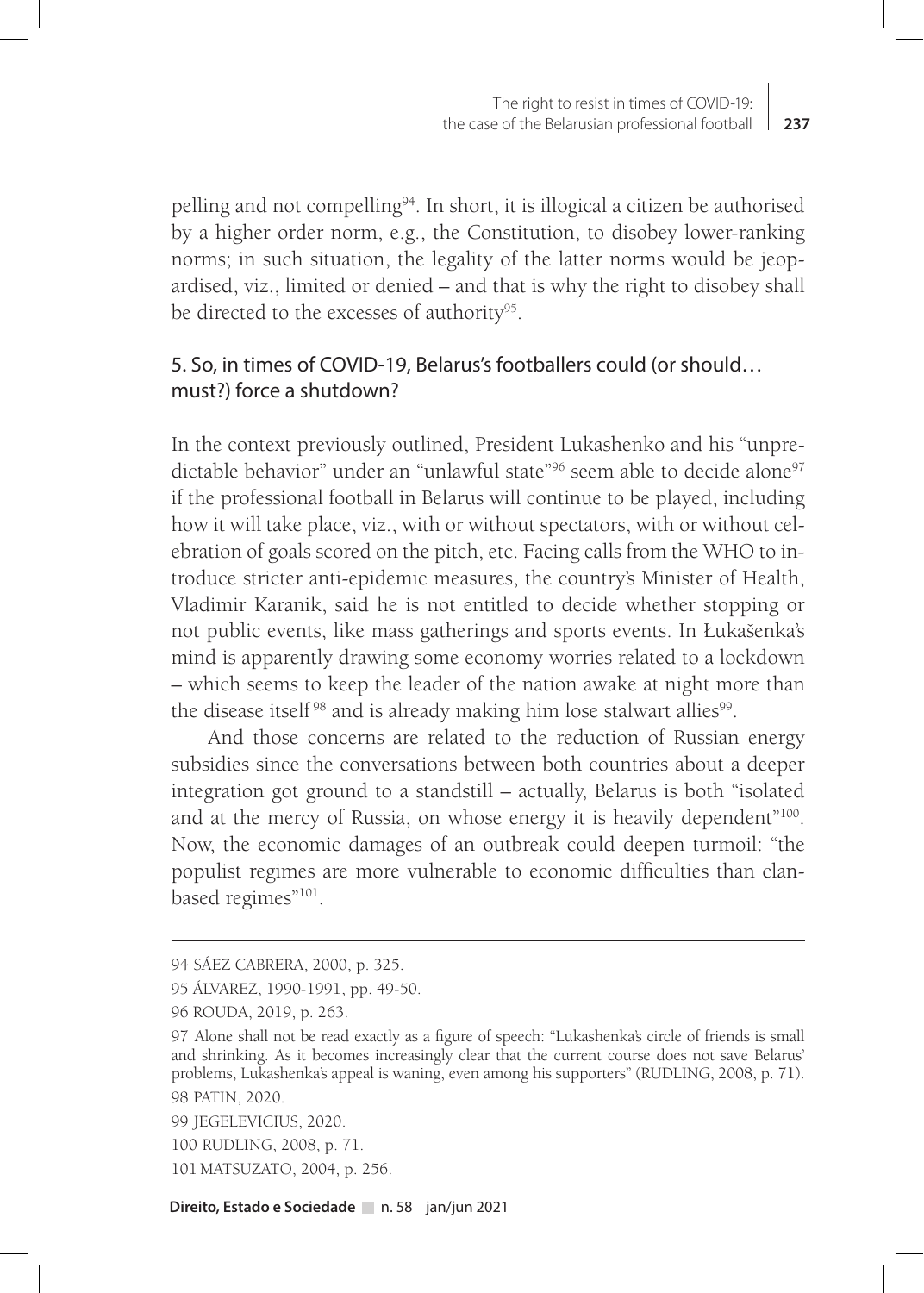pelling and not compelling94. In short, it is illogical a citizen be authorised by a higher order norm, e.g., the Constitution, to disobey lower-ranking norms; in such situation, the legality of the latter norms would be jeopardised, viz., limited or denied – and that is why the right to disobey shall be directed to the excesses of authority<sup>95</sup>.

# 5. So, in times of COVID-19, Belarus's footballers could (or should… must?) force a shutdown?

In the context previously outlined, President Lukashenko and his "unpredictable behavior" under an "unlawful state"<sup>96</sup> seem able to decide alone<sup>97</sup> if the professional football in Belarus will continue to be played, including how it will take place, viz., with or without spectators, with or without celebration of goals scored on the pitch, etc. Facing calls from the WHO to introduce stricter anti-epidemic measures, the country's Minister of Health, Vladimir Karanik, said he is not entitled to decide whether stopping or not public events, like mass gatherings and sports events. In Łukašenka's mind is apparently drawing some economy worries related to a lockdown – which seems to keep the leader of the nation awake at night more than the disease itself<sup>98</sup> and is already making him lose stalwart allies<sup>99</sup>.

And those concerns are related to the reduction of Russian energy subsidies since the conversations between both countries about a deeper integration got ground to a standstill – actually, Belarus is both "isolated and at the mercy of Russia, on whose energy it is heavily dependent"100. Now, the economic damages of an outbreak could deepen turmoil: "the populist regimes are more vulnerable to economic difficulties than clanbased regimes"<sup>101</sup>.

101 MATSUZATO, 2004, p. 256.

<sup>94</sup> SÁEZ CABRERA, 2000, p. 325.

<sup>95</sup> ÁLVAREZ, 1990-1991, pp. 49-50.

<sup>96</sup> ROUDA, 2019, p. 263.

<sup>97</sup> Alone shall not be read exactly as a figure of speech: "Lukashenka's circle of friends is small and shrinking. As it becomes increasingly clear that the current course does not save Belarus' problems, Lukashenka's appeal is waning, even among his supporters" (RUDLING, 2008, p. 71). 98 PATIN, 2020.

<sup>99</sup> JEGELEVICIUS, 2020.

<sup>100</sup> RUDLING, 2008, p. 71.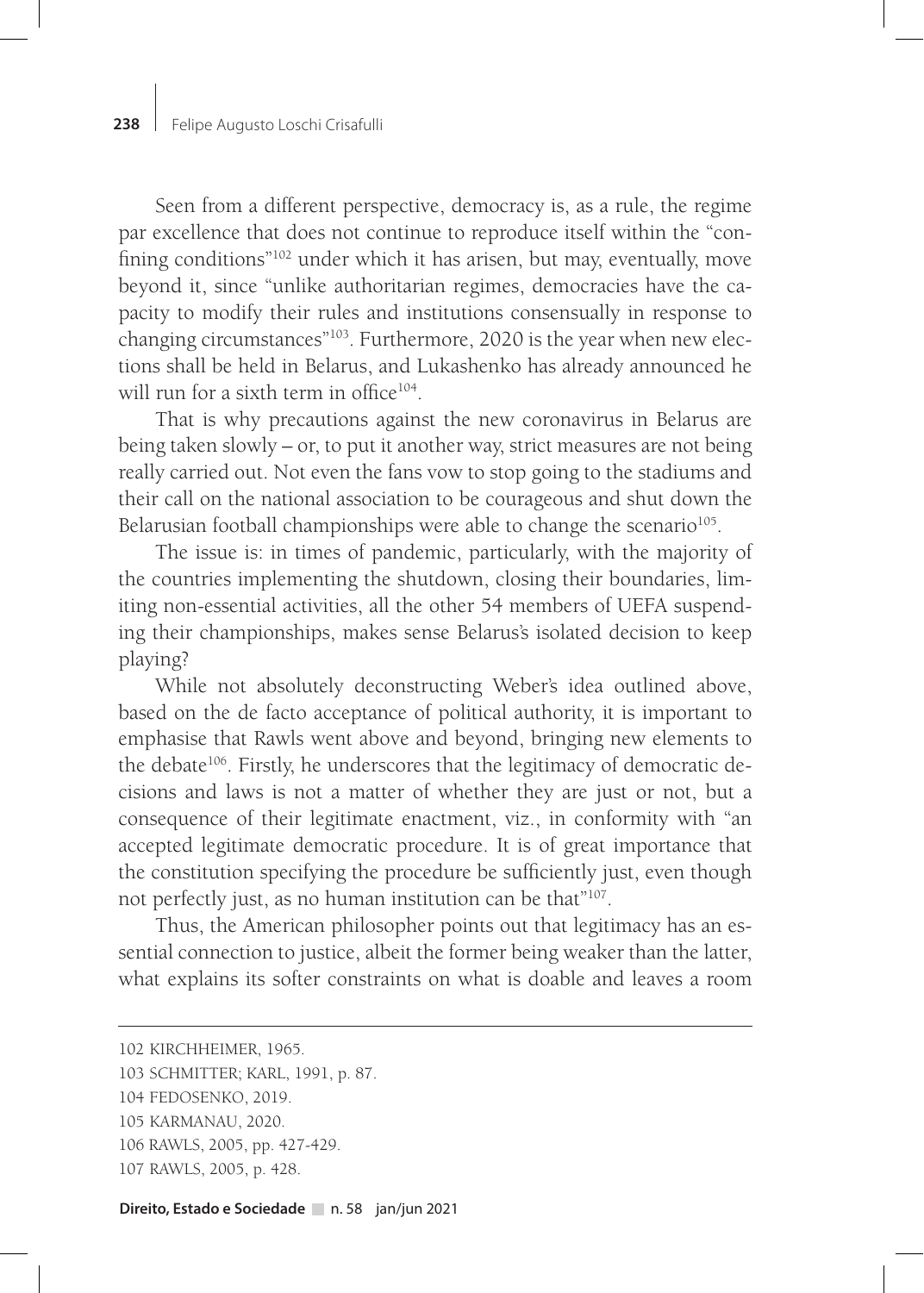Seen from a different perspective, democracy is, as a rule, the regime par excellence that does not continue to reproduce itself within the "confining conditions"102 under which it has arisen, but may, eventually, move beyond it, since "unlike authoritarian regimes, democracies have the capacity to modify their rules and institutions consensually in response to changing circumstances"<sup>103</sup>. Furthermore, 2020 is the year when new elections shall be held in Belarus, and Lukashenko has already announced he will run for a sixth term in office<sup>104</sup>.

That is why precautions against the new coronavirus in Belarus are being taken slowly – or, to put it another way, strict measures are not being really carried out. Not even the fans vow to stop going to the stadiums and their call on the national association to be courageous and shut down the Belarusian football championships were able to change the scenario<sup>105</sup>.

The issue is: in times of pandemic, particularly, with the majority of the countries implementing the shutdown, closing their boundaries, limiting non-essential activities, all the other 54 members of UEFA suspending their championships, makes sense Belarus's isolated decision to keep playing?

While not absolutely deconstructing Weber's idea outlined above, based on the de facto acceptance of political authority, it is important to emphasise that Rawls went above and beyond, bringing new elements to the debate<sup>106</sup>. Firstly, he underscores that the legitimacy of democratic decisions and laws is not a matter of whether they are just or not, but a consequence of their legitimate enactment, viz., in conformity with "an accepted legitimate democratic procedure. It is of great importance that the constitution specifying the procedure be sufficiently just, even though not perfectly just, as no human institution can be that"107.

Thus, the American philosopher points out that legitimacy has an essential connection to justice, albeit the former being weaker than the latter, what explains its softer constraints on what is doable and leaves a room

104 FEDOSENKO, 2019.

- 106 RAWLS, 2005, pp. 427-429.
- 107 RAWLS, 2005, p. 428.

<sup>102</sup> KIRCHHEIMER, 1965.

<sup>103</sup> SCHMITTER; KARL, 1991, p. 87.

<sup>105</sup> KARMANAU, 2020.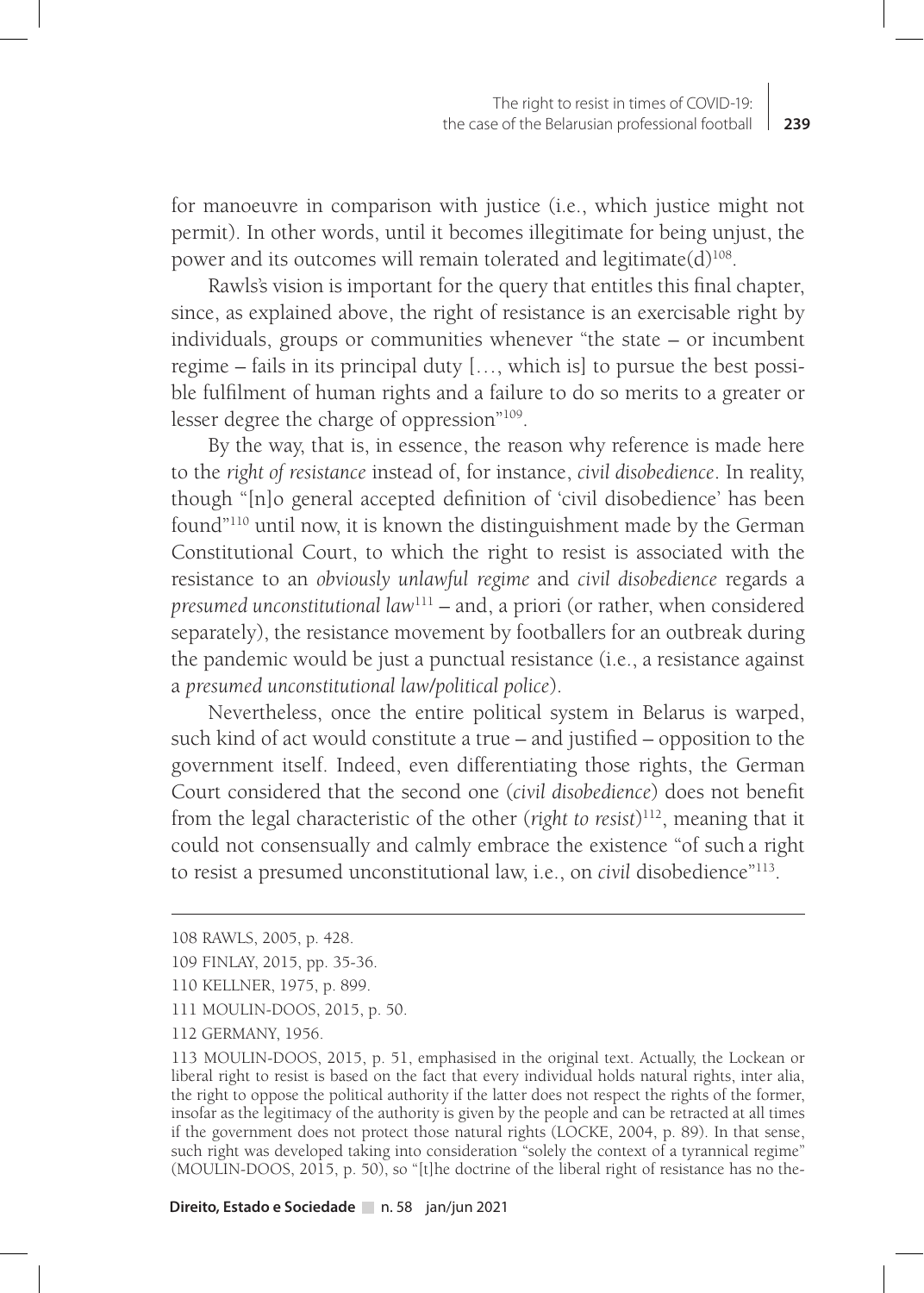for manoeuvre in comparison with justice (i.e., which justice might not permit). In other words, until it becomes illegitimate for being unjust, the power and its outcomes will remain tolerated and legitimate $(d)^{108}$ .

Rawls's vision is important for the query that entitles this final chapter, since, as explained above, the right of resistance is an exercisable right by individuals, groups or communities whenever "the state – or incumbent regime – fails in its principal duty […, which is] to pursue the best possible fulfilment of human rights and a failure to do so merits to a greater or lesser degree the charge of oppression"109.

By the way, that is, in essence, the reason why reference is made here to the *right of resistance* instead of, for instance, *civil disobedience*. In reality, though "[n]o general accepted definition of 'civil disobedience' has been found"110 until now, it is known the distinguishment made by the German Constitutional Court, to which the right to resist is associated with the resistance to an *obviously unlawful regime* and *civil disobedience* regards a *presumed unconstitutional law*111 – and, a priori (or rather, when considered separately), the resistance movement by footballers for an outbreak during the pandemic would be just a punctual resistance (i.e., a resistance against a *presumed unconstitutional law/political police*).

Nevertheless, once the entire political system in Belarus is warped, such kind of act would constitute a true – and justified – opposition to the government itself. Indeed, even differentiating those rights, the German Court considered that the second one (*civil disobedience*) does not benefit from the legal characteristic of the other (*right to resist*) 112, meaning that it could not consensually and calmly embrace the existence "of such a right to resist a presumed unconstitutional law, i.e., on *civil* disobedience"113.

<sup>108</sup> RAWLS, 2005, p. 428.

<sup>109</sup> FINLAY, 2015, pp. 35-36.

<sup>110</sup> KELLNER, 1975, p. 899.

<sup>111</sup> MOULIN-DOOS, 2015, p. 50.

<sup>112</sup> GERMANY, 1956.

<sup>113</sup> MOULIN-DOOS, 2015, p. 51, emphasised in the original text. Actually, the Lockean or liberal right to resist is based on the fact that every individual holds natural rights, inter alia, the right to oppose the political authority if the latter does not respect the rights of the former, insofar as the legitimacy of the authority is given by the people and can be retracted at all times if the government does not protect those natural rights (LOCKE, 2004, p. 89). In that sense, such right was developed taking into consideration "solely the context of a tyrannical regime" (MOULIN-DOOS, 2015, p. 50), so "[t]he doctrine of the liberal right of resistance has no the-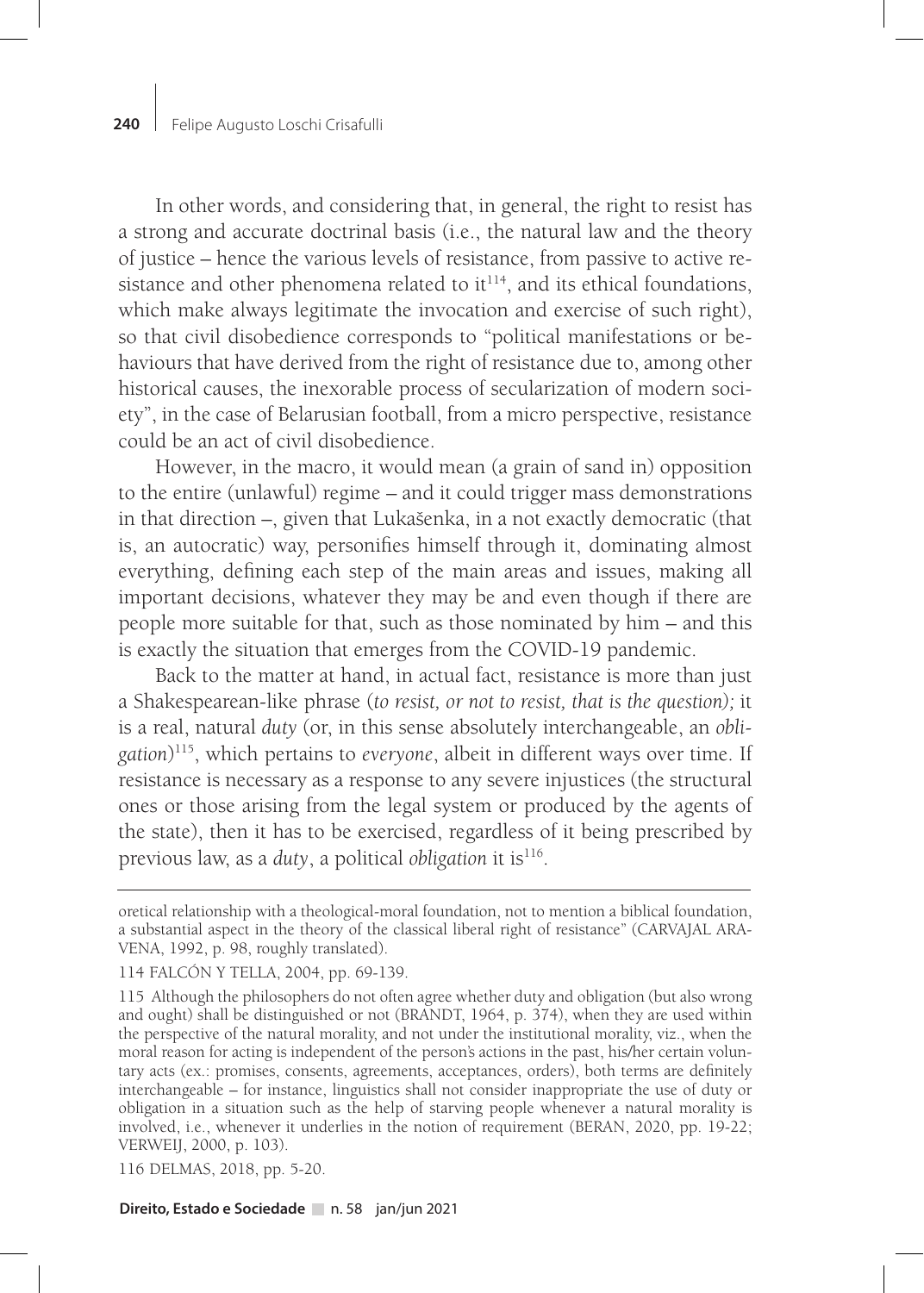In other words, and considering that, in general, the right to resist has a strong and accurate doctrinal basis (i.e., the natural law and the theory of justice – hence the various levels of resistance, from passive to active resistance and other phenomena related to  $it^{114}$ , and its ethical foundations, which make always legitimate the invocation and exercise of such right), so that civil disobedience corresponds to "political manifestations or behaviours that have derived from the right of resistance due to, among other historical causes, the inexorable process of secularization of modern society", in the case of Belarusian football, from a micro perspective, resistance could be an act of civil disobedience.

However, in the macro, it would mean (a grain of sand in) opposition to the entire (unlawful) regime – and it could trigger mass demonstrations in that direction –, given that Lukašenka, in a not exactly democratic (that is, an autocratic) way, personifies himself through it, dominating almost everything, defining each step of the main areas and issues, making all important decisions, whatever they may be and even though if there are people more suitable for that, such as those nominated by him – and this is exactly the situation that emerges from the COVID-19 pandemic.

Back to the matter at hand, in actual fact, resistance is more than just a Shakespearean-like phrase (*to resist, or not to resist, that is the question);* it is a real, natural *duty* (or, in this sense absolutely interchangeable, an *obligation*) 115, which pertains to *everyone*, albeit in different ways over time. If resistance is necessary as a response to any severe injustices (the structural ones or those arising from the legal system or produced by the agents of the state), then it has to be exercised, regardless of it being prescribed by previous law, as a *duty*, a political *obligation* it is116.

116 DELMAS, 2018, pp. 5-20.

oretical relationship with a theological-moral foundation, not to mention a biblical foundation, a substantial aspect in the theory of the classical liberal right of resistance" (CARVAJAL ARA-VENA, 1992, p. 98, roughly translated).

<sup>114</sup> FALCÓN Y TELLA, 2004, pp. 69-139.

<sup>115</sup> Although the philosophers do not often agree whether duty and obligation (but also wrong and ought) shall be distinguished or not (BRANDT, 1964, p. 374), when they are used within the perspective of the natural morality, and not under the institutional morality, viz., when the moral reason for acting is independent of the person's actions in the past, his/her certain voluntary acts (ex.: promises, consents, agreements, acceptances, orders), both terms are definitely interchangeable – for instance, linguistics shall not consider inappropriate the use of duty or obligation in a situation such as the help of starving people whenever a natural morality is involved, i.e., whenever it underlies in the notion of requirement (BERAN, 2020, pp. 19-22; VERWEIJ, 2000, p. 103).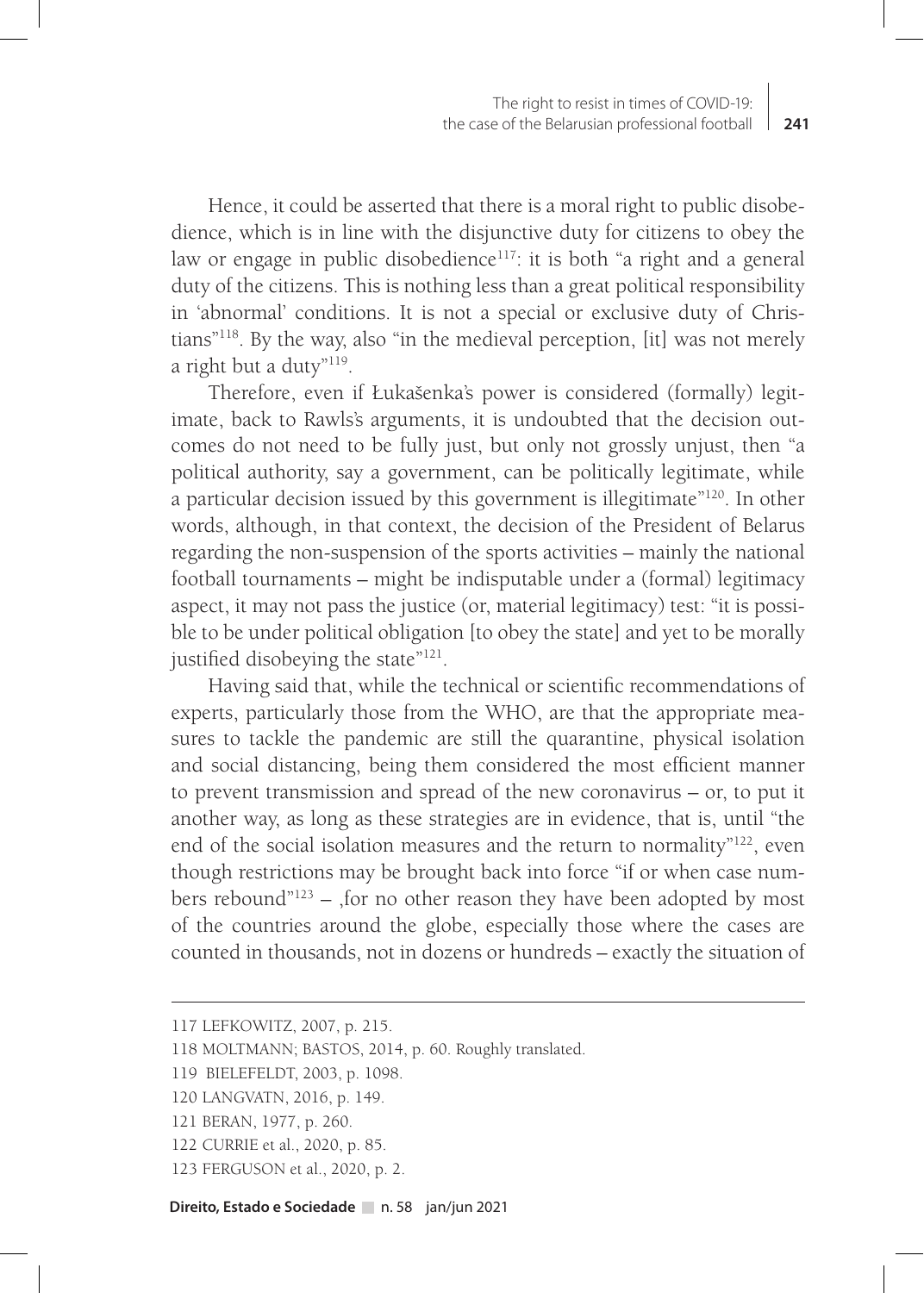Hence, it could be asserted that there is a moral right to public disobedience, which is in line with the disjunctive duty for citizens to obey the law or engage in public disobedience<sup>117</sup>: it is both "a right and a general duty of the citizens. This is nothing less than a great political responsibility in 'abnormal' conditions. It is not a special or exclusive duty of Christians"118. By the way, also "in the medieval perception, [it] was not merely a right but a duty"119.

Therefore, even if Łukašenka's power is considered (formally) legitimate, back to Rawls's arguments, it is undoubted that the decision outcomes do not need to be fully just, but only not grossly unjust, then "a political authority, say a government, can be politically legitimate, while a particular decision issued by this government is illegitimate"120. In other words, although, in that context, the decision of the President of Belarus regarding the non-suspension of the sports activities – mainly the national football tournaments – might be indisputable under a (formal) legitimacy aspect, it may not pass the justice (or, material legitimacy) test: "it is possible to be under political obligation [to obey the state] and yet to be morally justified disobeying the state"121.

Having said that, while the technical or scientific recommendations of experts, particularly those from the WHO, are that the appropriate measures to tackle the pandemic are still the quarantine, physical isolation and social distancing, being them considered the most efficient manner to prevent transmission and spread of the new coronavirus – or, to put it another way, as long as these strategies are in evidence, that is, until "the end of the social isolation measures and the return to normality"122, even though restrictions may be brought back into force "if or when case numbers rebound" $123$  – , for no other reason they have been adopted by most of the countries around the globe, especially those where the cases are counted in thousands, not in dozens or hundreds – exactly the situation of

<sup>117</sup> LEFKOWITZ, 2007, p. 215.

<sup>118</sup> MOLTMANN; BASTOS, 2014, p. 60. Roughly translated.

<sup>119</sup> BIELEFELDT, 2003, p. 1098.

<sup>120</sup> LANGVATN, 2016, p. 149.

<sup>121</sup> BERAN, 1977, p. 260.

<sup>122</sup> CURRIE et al., 2020, p. 85.

<sup>123</sup> FERGUSON et al., 2020, p. 2.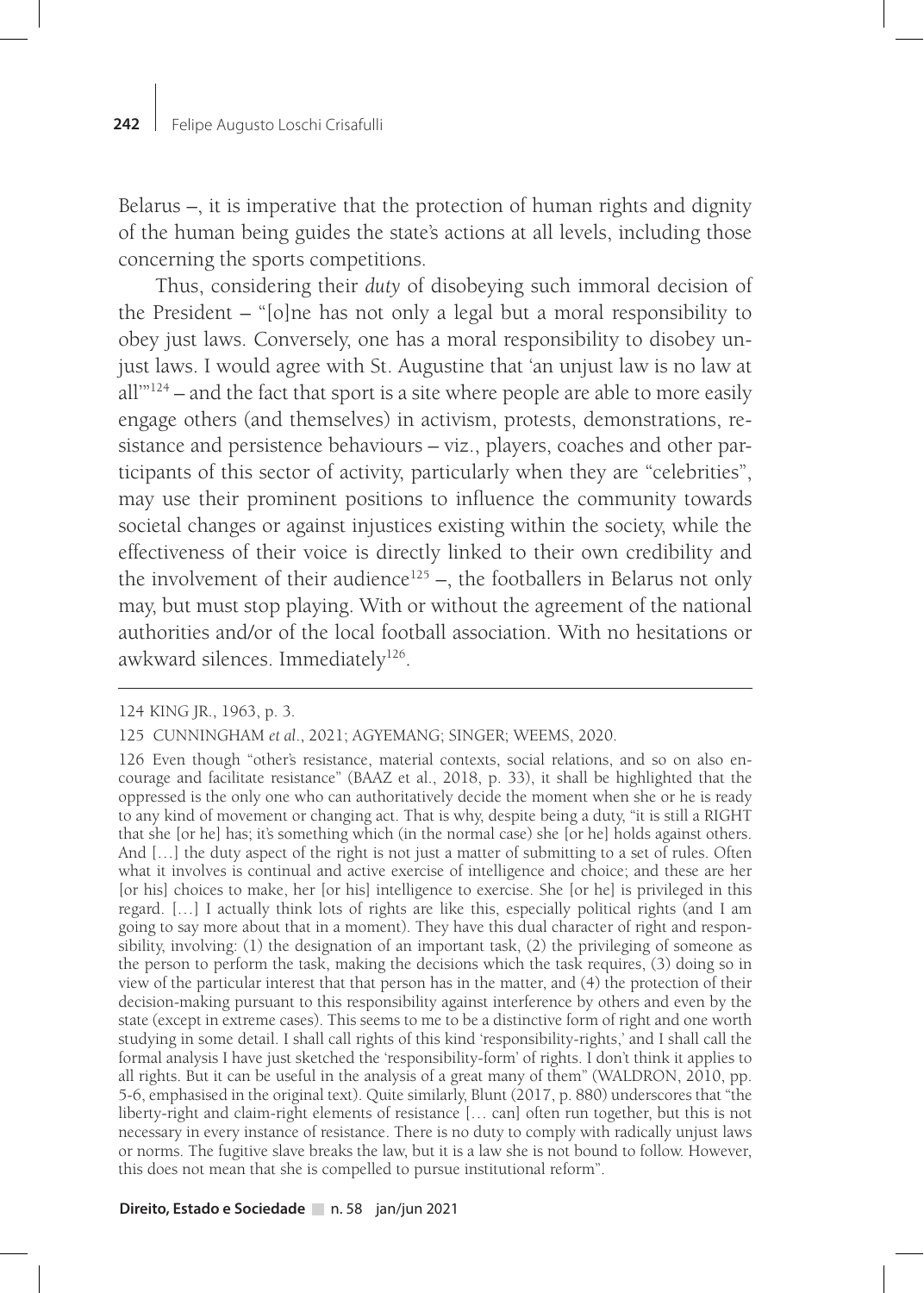Belarus –, it is imperative that the protection of human rights and dignity of the human being guides the state's actions at all levels, including those concerning the sports competitions.

Thus, considering their *duty* of disobeying such immoral decision of the President – "[o]ne has not only a legal but a moral responsibility to obey just laws. Conversely, one has a moral responsibility to disobey unjust laws. I would agree with St. Augustine that 'an unjust law is no law at all'"124 – and the fact that sport is a site where people are able to more easily engage others (and themselves) in activism, protests, demonstrations, resistance and persistence behaviours – viz., players, coaches and other participants of this sector of activity, particularly when they are "celebrities", may use their prominent positions to influence the community towards societal changes or against injustices existing within the society, while the effectiveness of their voice is directly linked to their own credibility and the involvement of their audience<sup>125</sup> –, the footballers in Belarus not only may, but must stop playing. With or without the agreement of the national authorities and/or of the local football association. With no hesitations or awkward silences. Immediately<sup>126</sup>.

<sup>124</sup> KING JR., 1963, p. 3.

<sup>125</sup> CUNNINGHAM *et al*., 2021; AGYEMANG; SINGER; WEEMS, 2020.

<sup>126</sup> Even though "other's resistance, material contexts, social relations, and so on also encourage and facilitate resistance" (BAAZ et al., 2018, p. 33), it shall be highlighted that the oppressed is the only one who can authoritatively decide the moment when she or he is ready to any kind of movement or changing act. That is why, despite being a duty, "it is still a RIGHT that she [or he] has; it's something which (in the normal case) she [or he] holds against others. And […] the duty aspect of the right is not just a matter of submitting to a set of rules. Often what it involves is continual and active exercise of intelligence and choice; and these are her [or his] choices to make, her [or his] intelligence to exercise. She [or he] is privileged in this regard. […] I actually think lots of rights are like this, especially political rights (and I am going to say more about that in a moment). They have this dual character of right and responsibility, involving: (1) the designation of an important task, (2) the privileging of someone as the person to perform the task, making the decisions which the task requires, (3) doing so in view of the particular interest that that person has in the matter, and (4) the protection of their decision-making pursuant to this responsibility against interference by others and even by the state (except in extreme cases). This seems to me to be a distinctive form of right and one worth studying in some detail. I shall call rights of this kind 'responsibility-rights,' and I shall call the formal analysis I have just sketched the 'responsibility-form' of rights. I don't think it applies to all rights. But it can be useful in the analysis of a great many of them" (WALDRON, 2010, pp. 5-6, emphasised in the original text). Quite similarly, Blunt (2017, p. 880) underscores that "the liberty-right and claim-right elements of resistance [… can] often run together, but this is not necessary in every instance of resistance. There is no duty to comply with radically unjust laws or norms. The fugitive slave breaks the law, but it is a law she is not bound to follow. However, this does not mean that she is compelled to pursue institutional reform".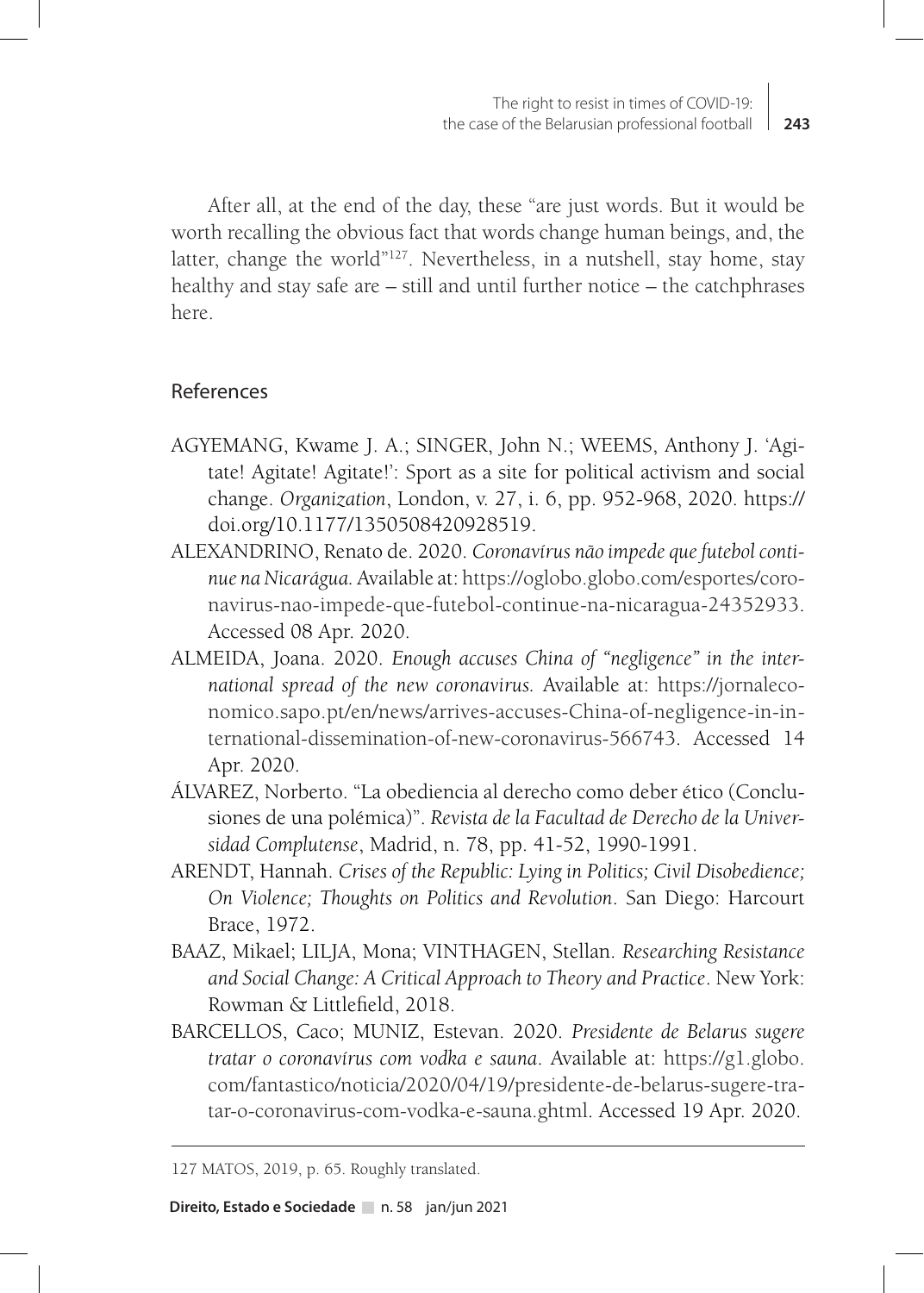After all, at the end of the day, these "are just words. But it would be worth recalling the obvious fact that words change human beings, and, the latter, change the world"<sup>127</sup>. Nevertheless, in a nutshell, stay home, stay healthy and stay safe are – still and until further notice – the catchphrases here.

## References

- AGYEMANG, Kwame J. A.; SINGER, John N.; WEEMS, Anthony J. 'Agitate! Agitate! Agitate!': Sport as a site for political activism and social change. *Organization*, London, v. 27, i. 6, pp. 952-968, 2020. https:// doi.org/10.1177/1350508420928519.
- ALEXANDRINO, Renato de. 2020. *Coronavírus não impede que futebol continue na Nicarágua.* Available at: https://oglobo.globo.com/esportes/coronavirus-nao-impede-que-futebol-continue-na-nicaragua-24352933. Accessed 08 Apr. 2020.
- ALMEIDA, Joana. 2020. *Enough accuses China of "negligence" in the international spread of the new coronavirus.* Available at: https://jornaleconomico.sapo.pt/en/news/arrives-accuses-China-of-negligence-in-international-dissemination-of-new-coronavirus-566743. Accessed 14 Apr. 2020.
- ÁLVAREZ, Norberto. "La obediencia al derecho como deber ético (Conclusiones de una polémica)". *Revista de la Facultad de Derecho de la Universidad Complutense*, Madrid, n. 78, pp. 41-52, 1990-1991.
- ARENDT, Hannah. *Crises of the Republic: Lying in Politics; Civil Disobedience; On Violence; Thoughts on Politics and Revolution*. San Diego: Harcourt Brace, 1972.
- BAAZ, Mikael; LILJA, Mona; VINTHAGEN, Stellan. *Researching Resistance and Social Change: A Critical Approach to Theory and Practice*. New York: Rowman & Littlefield, 2018.
- BARCELLOS, Caco; MUNIZ, Estevan. 2020. *Presidente de Belarus sugere tratar o coronavírus com vodka e sauna*. Available at: https://g1.globo. com/fantastico/noticia/2020/04/19/presidente-de-belarus-sugere-tratar-o-coronavirus-com-vodka-e-sauna.ghtml. Accessed 19 Apr. 2020.

<sup>127</sup> MATOS, 2019, p. 65. Roughly translated.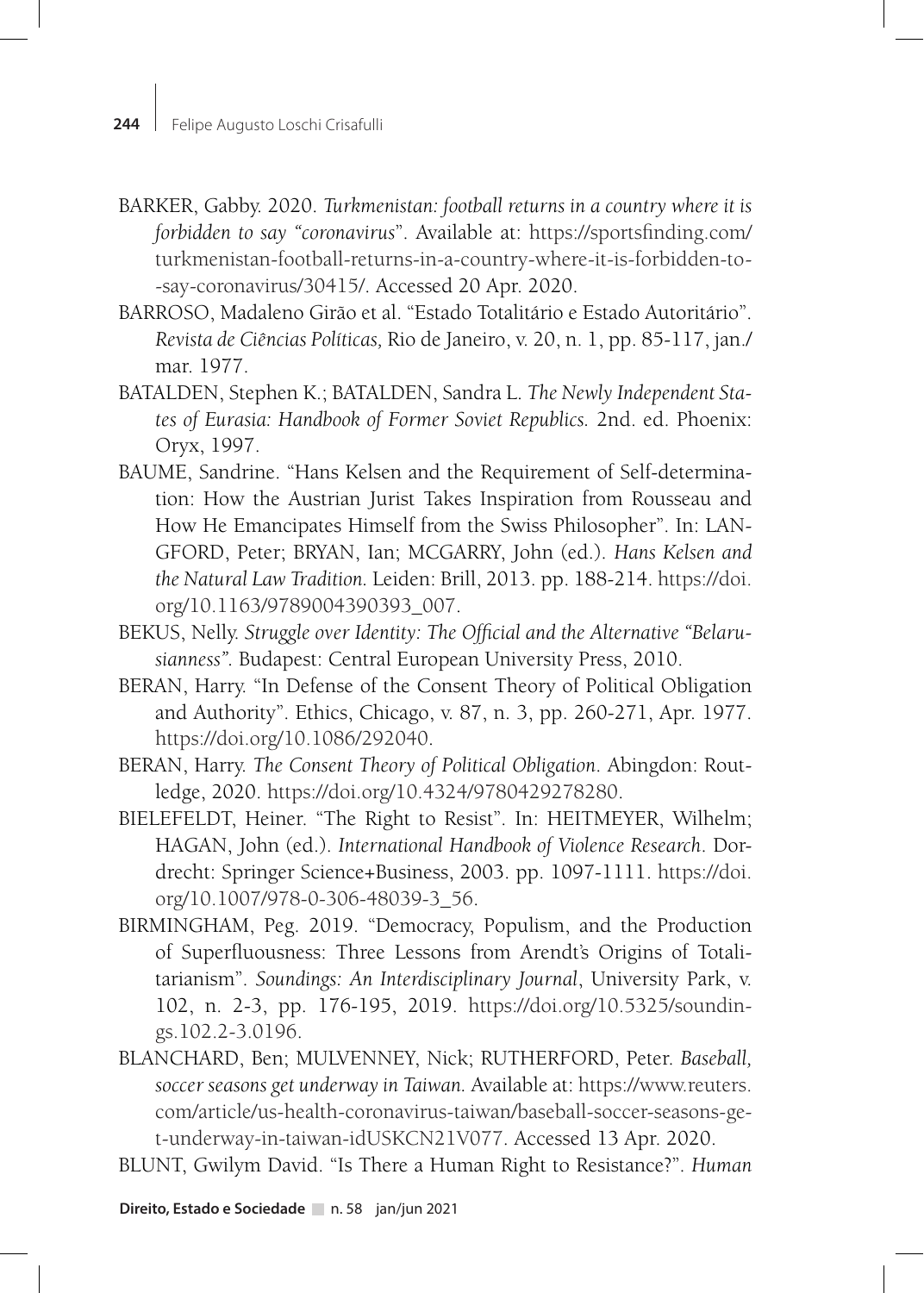- BARKER, Gabby. 2020. *Turkmenistan: football returns in a country where it is forbidden to say "coronavirus*". Available at: https://sportsfinding.com/ turkmenistan-football-returns-in-a-country-where-it-is-forbidden-to- -say-coronavirus/30415/. Accessed 20 Apr. 2020.
- BARROSO, Madaleno Girão et al. "Estado Totalitário e Estado Autoritário". *Revista de Ciências Políticas,* Rio de Janeiro, v. 20, n. 1, pp. 85-117, jan./ mar. 1977.
- BATALDEN, Stephen K.; BATALDEN, Sandra L. *The Newly Independent States of Eurasia: Handbook of Former Soviet Republics.* 2nd. ed. Phoenix: Oryx, 1997.
- BAUME, Sandrine. "Hans Kelsen and the Requirement of Self-determination: How the Austrian Jurist Takes Inspiration from Rousseau and How He Emancipates Himself from the Swiss Philosopher". In: LAN-GFORD, Peter; BRYAN, Ian; MCGARRY, John (ed.). *Hans Kelsen and the Natural Law Tradition.* Leiden: Brill, 2013. pp. 188-214. https://doi. org/10.1163/9789004390393\_007.
- BEKUS, Nelly. *Struggle over Identity: The Official and the Alternative "Belarusianness".* Budapest: Central European University Press, 2010.
- BERAN, Harry. "In Defense of the Consent Theory of Political Obligation and Authority". Ethics, Chicago, v. 87, n. 3, pp. 260-271, Apr. 1977. https://doi.org/10.1086/292040.
- BERAN, Harry. *The Consent Theory of Political Obligation*. Abingdon: Routledge, 2020. https://doi.org/10.4324/9780429278280.
- BIELEFELDT, Heiner. "The Right to Resist". In: HEITMEYER, Wilhelm; HAGAN, John (ed.). *International Handbook of Violence Research*. Dordrecht: Springer Science+Business, 2003. pp. 1097-1111. https://doi. org/10.1007/978-0-306-48039-3\_56.
- BIRMINGHAM, Peg. 2019. "Democracy, Populism, and the Production of Superfluousness: Three Lessons from Arendt's Origins of Totalitarianism". *Soundings: An Interdisciplinary Journal*, University Park, v. 102, n. 2-3, pp. 176-195, 2019. https://doi.org/10.5325/soundings.102.2-3.0196.
- BLANCHARD, Ben; MULVENNEY, Nick; RUTHERFORD, Peter. *Baseball, soccer seasons get underway in Taiwan.* Available at: https://www.reuters. com/article/us-health-coronavirus-taiwan/baseball-soccer-seasons-get-underway-in-taiwan-idUSKCN21V077. Accessed 13 Apr. 2020.
- BLUNT, Gwilym David. "Is There a Human Right to Resistance?". *Human*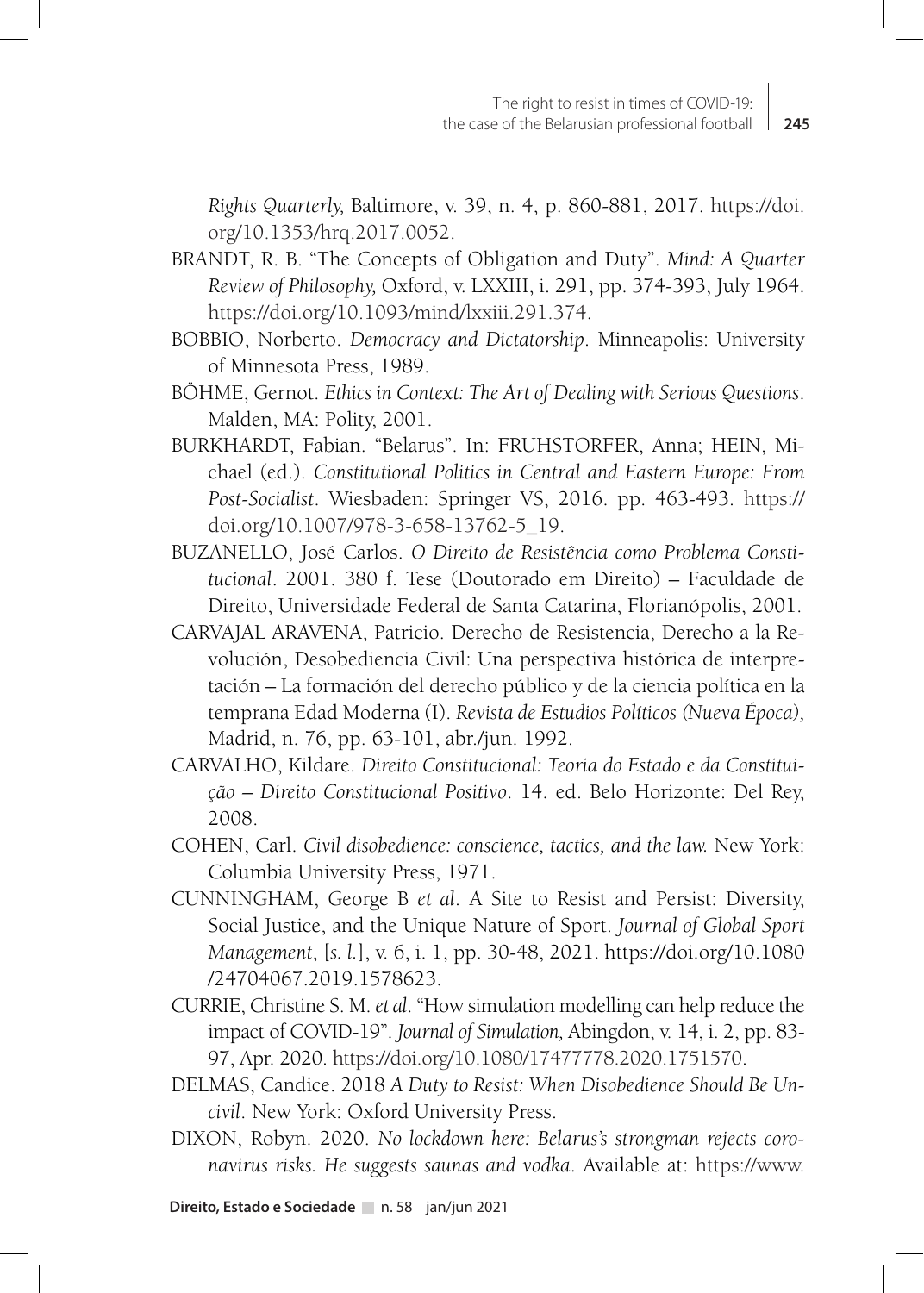*Rights Quarterly,* Baltimore, v. 39, n. 4, p. 860-881, 2017. https://doi. org/10.1353/hrq.2017.0052.

- BRANDT, R. B. "The Concepts of Obligation and Duty". *Mind: A Quarter Review of Philosophy,* Oxford, v. LXXIII, i. 291, pp. 374-393, July 1964. https://doi.org/10.1093/mind/lxxiii.291.374.
- BOBBIO, Norberto. *Democracy and Dictatorship*. Minneapolis: University of Minnesota Press, 1989.
- BÖHME, Gernot. *Ethics in Context: The Art of Dealing with Serious Questions*. Malden, MA: Polity, 2001.
- BURKHARDT, Fabian. "Belarus". In: FRUHSTORFER, Anna; HEIN, Michael (ed.). *Constitutional Politics in Central and Eastern Europe: From Post-Socialist*. Wiesbaden: Springer VS, 2016. pp. 463-493. https:// doi.org/10.1007/978-3-658-13762-5\_19.
- BUZANELLO, José Carlos. *O Direito de Resistência como Problema Constitucional*. 2001. 380 f. Tese (Doutorado em Direito) – Faculdade de Direito, Universidade Federal de Santa Catarina, Florianópolis, 2001.
- CARVAJAL ARAVENA, Patricio. Derecho de Resistencia, Derecho a la Revolución, Desobediencia Civil: Una perspectiva histórica de interpretación – La formación del derecho público y de la ciencia política en la temprana Edad Moderna (I). *Revista de Estudios Políticos (Nueva Época),*  Madrid, n. 76, pp. 63-101, abr./jun. 1992.
- CARVALHO, Kildare. *Direito Constitucional: Teoria do Estado e da Constituição – Direito Constitucional Positivo*. 14. ed. Belo Horizonte: Del Rey, 2008.
- COHEN, Carl. *Civil disobedience: conscience, tactics, and the law.* New York: Columbia University Press, 1971.
- CUNNINGHAM, George B *et al*. A Site to Resist and Persist: Diversity, Social Justice, and the Unique Nature of Sport. *Journal of Global Sport Management*, [*s. l.*], v. 6, i. 1, pp. 30-48, 2021. https://doi.org/10.1080 /24704067.2019.1578623.
- CURRIE, Christine S. M. *et al*. "How simulation modelling can help reduce the impact of COVID-19". *Journal of Simulation,* Abingdon, v. 14, i. 2, pp. 83- 97, Apr. 2020. https://doi.org/10.1080/17477778.2020.1751570.
- DELMAS, Candice. 2018 *A Duty to Resist: When Disobedience Should Be Uncivil*. New York: Oxford University Press.
- DIXON, Robyn. 2020. *No lockdown here: Belarus's strongman rejects coronavirus risks. He suggests saunas and vodka*. Available at: https://www.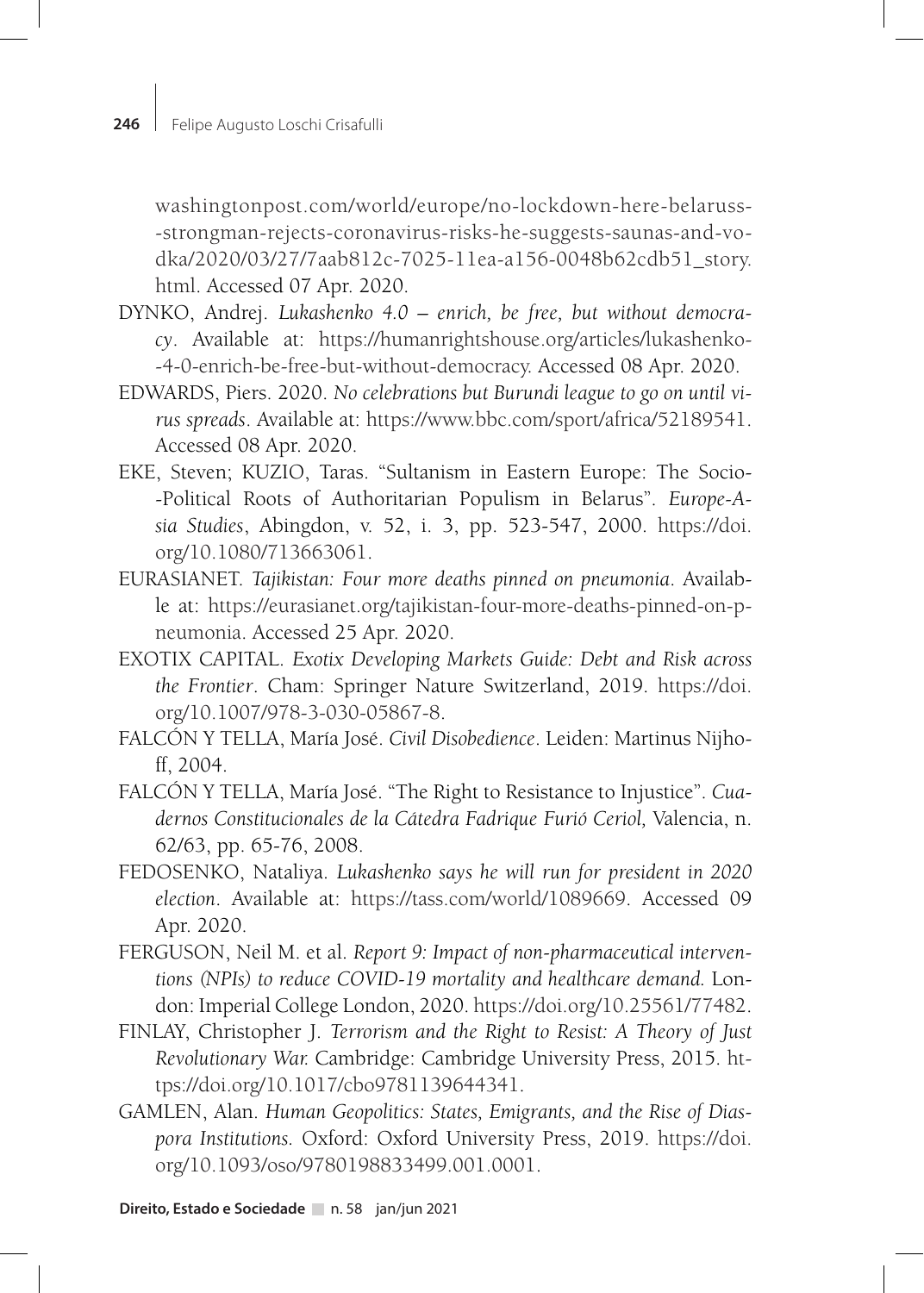washingtonpost.com/world/europe/no-lockdown-here-belaruss- -strongman-rejects-coronavirus-risks-he-suggests-saunas-and-vodka/2020/03/27/7aab812c-7025-11ea-a156-0048b62cdb51\_story. html. Accessed 07 Apr. 2020.

- DYNKO, Andrej. *Lukashenko 4.0 enrich, be free, but without democracy*. Available at: https://humanrightshouse.org/articles/lukashenko- -4-0-enrich-be-free-but-without-democracy. Accessed 08 Apr. 2020.
- EDWARDS, Piers. 2020. *No celebrations but Burundi league to go on until virus spreads*. Available at: https://www.bbc.com/sport/africa/52189541. Accessed 08 Apr. 2020.
- EKE, Steven; KUZIO, Taras. "Sultanism in Eastern Europe: The Socio- -Political Roots of Authoritarian Populism in Belarus". *Europe-Asia Studies*, Abingdon, v. 52, i. 3, pp. 523-547, 2000. https://doi. org/10.1080/713663061.
- EURASIANET. *Tajikistan: Four more deaths pinned on pneumonia*. Available at: https://eurasianet.org/tajikistan-four-more-deaths-pinned-on-pneumonia. Accessed 25 Apr. 2020.
- EXOTIX CAPITAL. *Exotix Developing Markets Guide: Debt and Risk across the Frontier*. Cham: Springer Nature Switzerland, 2019. https://doi. org/10.1007/978-3-030-05867-8.
- FALCÓN Y TELLA, María José. *Civil Disobedience*. Leiden: Martinus Nijhoff, 2004.
- FALCÓN Y TELLA, María José. "The Right to Resistance to Injustice". *Cuadernos Constitucionales de la Cátedra Fadrique Furió Ceriol,* Valencia, n. 62/63, pp. 65-76, 2008.
- FEDOSENKO, Nataliya. *Lukashenko says he will run for president in 2020 election*. Available at: https://tass.com/world/1089669. Accessed 09 Apr. 2020.
- FERGUSON, Neil M. et al. *Report 9: Impact of non-pharmaceutical interventions (NPIs) to reduce COVID-19 mortality and healthcare demand.* London: Imperial College London, 2020. https://doi.org/10.25561/77482.
- FINLAY, Christopher J. *Terrorism and the Right to Resist: A Theory of Just Revolutionary War.* Cambridge: Cambridge University Press, 2015. https://doi.org/10.1017/cbo9781139644341.
- GAMLEN, Alan. *Human Geopolitics: States, Emigrants, and the Rise of Diaspora Institutions.* Oxford: Oxford University Press, 2019. https://doi. org/10.1093/oso/9780198833499.001.0001.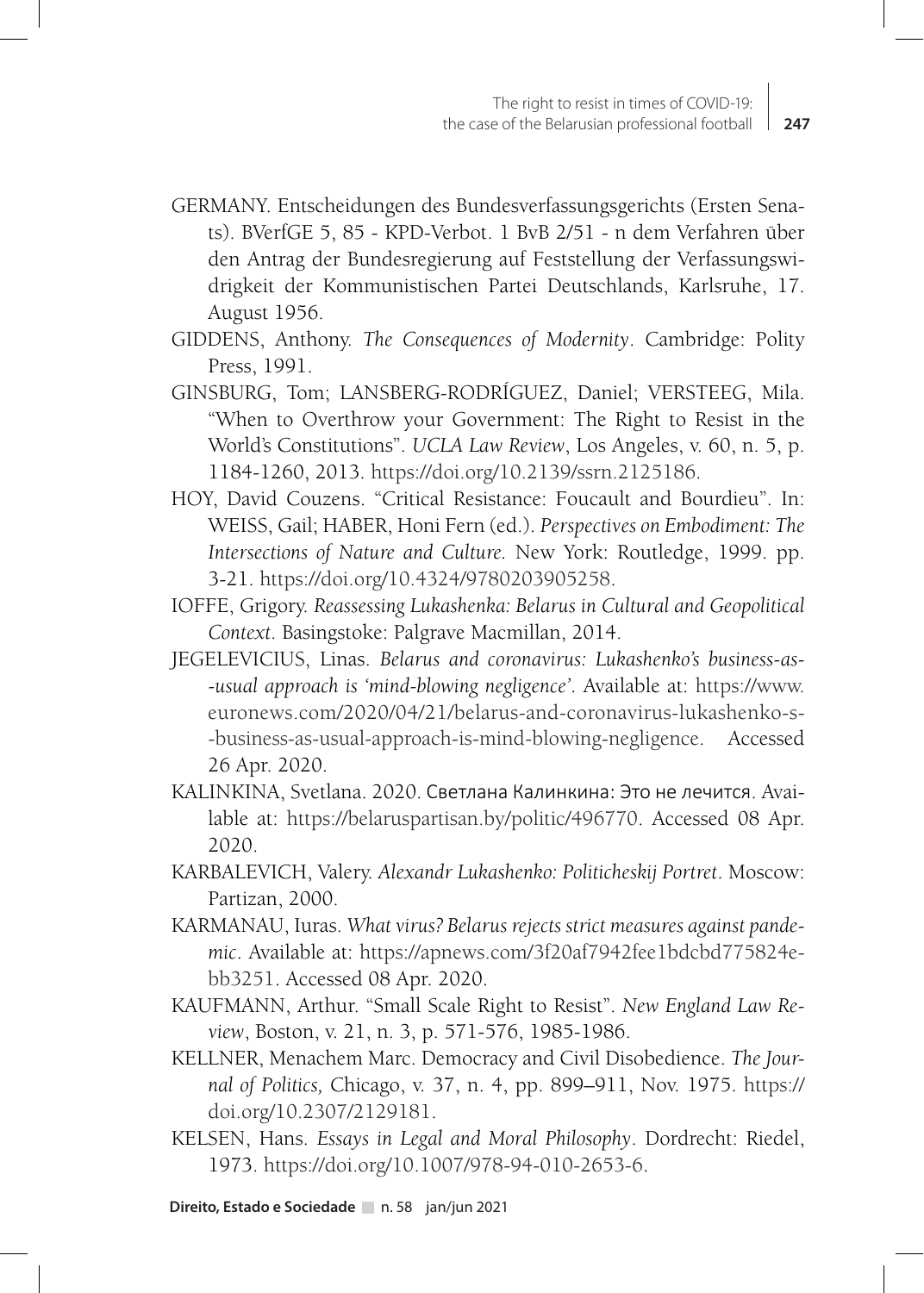- GERMANY. Entscheidungen des Bundesverfassungsgerichts (Ersten Senats). BVerfGE 5, 85 - KPD-Verbot. 1 BvB 2/51 - n dem Verfahren über den Antrag der Bundesregierung auf Feststellung der Verfassungswidrigkeit der Kommunistischen Partei Deutschlands, Karlsruhe, 17. August 1956.
- GIDDENS, Anthony. *The Consequences of Modernity*. Cambridge: Polity Press, 1991.
- GINSBURG, Tom; LANSBERG-RODRÍGUEZ, Daniel; VERSTEEG, Mila. "When to Overthrow your Government: The Right to Resist in the World's Constitutions". *UCLA Law Review*, Los Angeles, v. 60, n. 5, p. 1184-1260, 2013. https://doi.org/10.2139/ssrn.2125186.
- HOY, David Couzens. "Critical Resistance: Foucault and Bourdieu". In: WEISS, Gail; HABER, Honi Fern (ed.). *Perspectives on Embodiment: The Intersections of Nature and Culture.* New York: Routledge, 1999. pp. 3-21. https://doi.org/10.4324/9780203905258.
- IOFFE, Grigory. *Reassessing Lukashenka: Belarus in Cultural and Geopolitical Context*. Basingstoke: Palgrave Macmillan, 2014.
- JEGELEVICIUS, Linas. *Belarus and coronavirus: Lukashenko's business-as- -usual approach is 'mind-blowing negligence'*. Available at: https://www. euronews.com/2020/04/21/belarus-and-coronavirus-lukashenko-s- -business-as-usual-approach-is-mind-blowing-negligence. Accessed 26 Apr. 2020.
- KALINKINA, Svetlana. 2020. Светлана Калинкина: Это не лечится. Available at: https://belaruspartisan.by/politic/496770. Accessed 08 Apr. 2020.
- KARBALEVICH, Valery. *Alexandr Lukashenko: Politicheskij Portret*. Moscow: Partizan, 2000.
- KARMANAU, Iuras. *What virus? Belarus rejects strict measures against pandemic*. Available at: https://apnews.com/3f20af7942fee1bdcbd775824ebb3251. Accessed 08 Apr. 2020.
- KAUFMANN, Arthur. "Small Scale Right to Resist". *New England Law Review*, Boston, v. 21, n. 3, p. 571-576, 1985-1986.
- KELLNER, Menachem Marc. Democracy and Civil Disobedience. *The Journal of Politics,* Chicago, v. 37, n. 4, pp. 899–911, Nov. 1975. https:// doi.org/10.2307/2129181.
- KELSEN, Hans. *Essays in Legal and Moral Philosophy*. Dordrecht: Riedel, 1973. https://doi.org/10.1007/978-94-010-2653-6.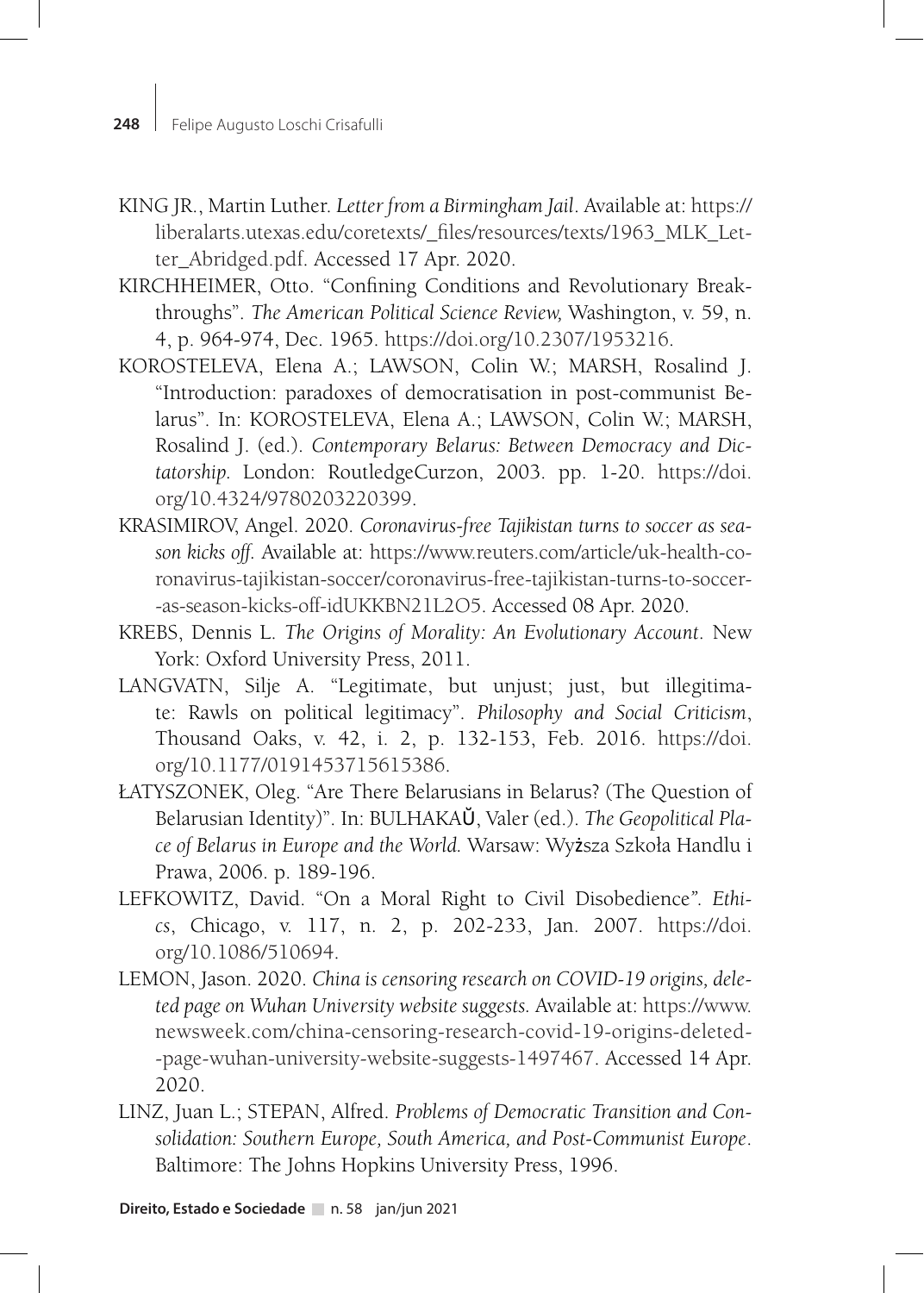- KING JR., Martin Luther. *Letter from a Birmingham Jail*. Available at: https:// liberalarts.utexas.edu/coretexts/\_files/resources/texts/1963\_MLK\_Letter\_Abridged.pdf. Accessed 17 Apr. 2020.
- KIRCHHEIMER, Otto. "Confining Conditions and Revolutionary Breakthroughs". *The American Political Science Review,* Washington, v. 59, n. 4, p. 964-974, Dec. 1965. https://doi.org/10.2307/1953216.
- KOROSTELEVA, Elena A.; LAWSON, Colin W.; MARSH, Rosalind J. "Introduction: paradoxes of democratisation in post-communist Belarus". In: KOROSTELEVA, Elena A.; LAWSON, Colin W.; MARSH, Rosalind J. (ed.). *Contemporary Belarus: Between Democracy and Dictatorship.* London: RoutledgeCurzon, 2003. pp. 1-20. https://doi. org/10.4324/9780203220399.
- KRASIMIROV, Angel. 2020. *Coronavirus-free Tajikistan turns to soccer as season kicks off.* Available at: https://www.reuters.com/article/uk-health-coronavirus-tajikistan-soccer/coronavirus-free-tajikistan-turns-to-soccer- -as-season-kicks-off-idUKKBN21L2O5. Accessed 08 Apr. 2020.
- KREBS, Dennis L. *The Origins of Morality: An Evolutionary Account*. New York: Oxford University Press, 2011.
- LANGVATN, Silje A. "Legitimate, but unjust; just, but illegitimate: Rawls on political legitimacy". *Philosophy and Social Criticism*, Thousand Oaks, v. 42, i. 2, p. 132-153, Feb. 2016. https://doi. org/10.1177/0191453715615386.
- ŁATYSZONEK, Oleg. "Are There Belarusians in Belarus? (The Question of Belarusian Identity)". In: BULHAKAŬ, Valer (ed.). *The Geopolitical Place of Belarus in Europe and the World.* Warsaw: Wyższa Szkoła Handlu i Prawa, 2006. p. 189-196.
- LEFKOWITZ, David. "On a Moral Right to Civil Disobedience*". Ethics*, Chicago, v. 117, n. 2, p. 202-233, Jan. 2007. https://doi. org/10.1086/510694.
- LEMON, Jason. 2020. *China is censoring research on COVID-19 origins, deleted page on Wuhan University website suggests.* Available at: https://www. newsweek.com/china-censoring-research-covid-19-origins-deleted- -page-wuhan-university-website-suggests-1497467. Accessed 14 Apr. 2020.
- LINZ, Juan L.; STEPAN, Alfred. *Problems of Democratic Transition and Consolidation: Southern Europe, South America, and Post-Communist Europe*. Baltimore: The Johns Hopkins University Press, 1996.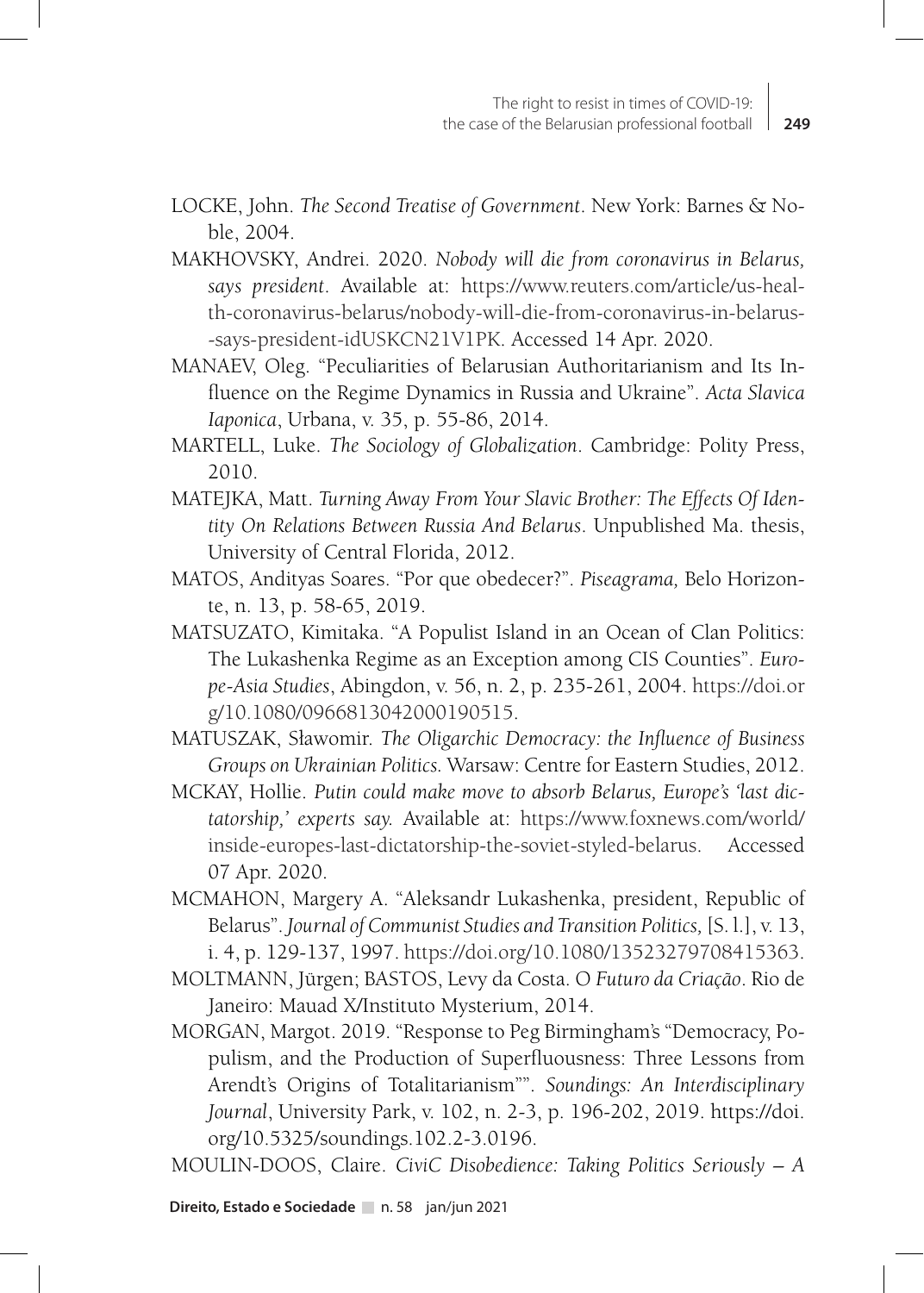- LOCKE, John. *The Second Treatise of Government*. New York: Barnes & Noble, 2004.
- MAKHOVSKY, Andrei. 2020. *Nobody will die from coronavirus in Belarus, says president*. Available at: https://www.reuters.com/article/us-health-coronavirus-belarus/nobody-will-die-from-coronavirus-in-belarus- -says-president-idUSKCN21V1PK. Accessed 14 Apr. 2020.
- MANAEV, Oleg. "Peculiarities of Belarusian Authoritarianism and Its Influence on the Regime Dynamics in Russia and Ukraine". *Acta Slavica Iaponica*, Urbana, v. 35, p. 55-86, 2014.
- MARTELL, Luke. *The Sociology of Globalization*. Cambridge: Polity Press, 2010.
- MATEJKA, Matt. *Turning Away From Your Slavic Brother: The Effects Of Identity On Relations Between Russia And Belarus*. Unpublished Ma. thesis, University of Central Florida, 2012.
- MATOS, Andityas Soares. "Por que obedecer?". *Piseagrama,* Belo Horizonte, n. 13, p. 58-65, 2019.
- MATSUZATO, Kimitaka. "A Populist Island in an Ocean of Clan Politics: The Lukashenka Regime as an Exception among CIS Counties". *Europe-Asia Studies*, Abingdon, v. 56, n. 2, p. 235-261, 2004. https://doi.or g/10.1080/0966813042000190515.
- MATUSZAK, Sławomir. *The Oligarchic Democracy: the Influence of Business Groups on Ukrainian Politics.* Warsaw: Centre for Eastern Studies, 2012.
- MCKAY, Hollie. *Putin could make move to absorb Belarus, Europe's 'last dictatorship,' experts say.* Available at: https://www.foxnews.com/world/ inside-europes-last-dictatorship-the-soviet-styled-belarus. Accessed 07 Apr. 2020.
- MCMAHON, Margery A. "Aleksandr Lukashenka, president, Republic of Belarus". *Journal of Communist Studies and Transition Politics,* [S. l.], v. 13, i. 4, p. 129-137, 1997. https://doi.org/10.1080/13523279708415363.
- MOLTMANN, Jürgen; BASTOS, Levy da Costa. O *Futuro da Criação*. Rio de Janeiro: Mauad X/Instituto Mysterium, 2014.
- MORGAN, Margot. 2019. "Response to Peg Birmingham's "Democracy, Populism, and the Production of Superfluousness: Three Lessons from Arendt's Origins of Totalitarianism"". *Soundings: An Interdisciplinary Journal*, University Park, v. 102, n. 2-3, p. 196-202, 2019. https://doi. org/10.5325/soundings.102.2-3.0196.

MOULIN-DOOS, Claire. *CiviC Disobedience: Taking Politics Seriously – A*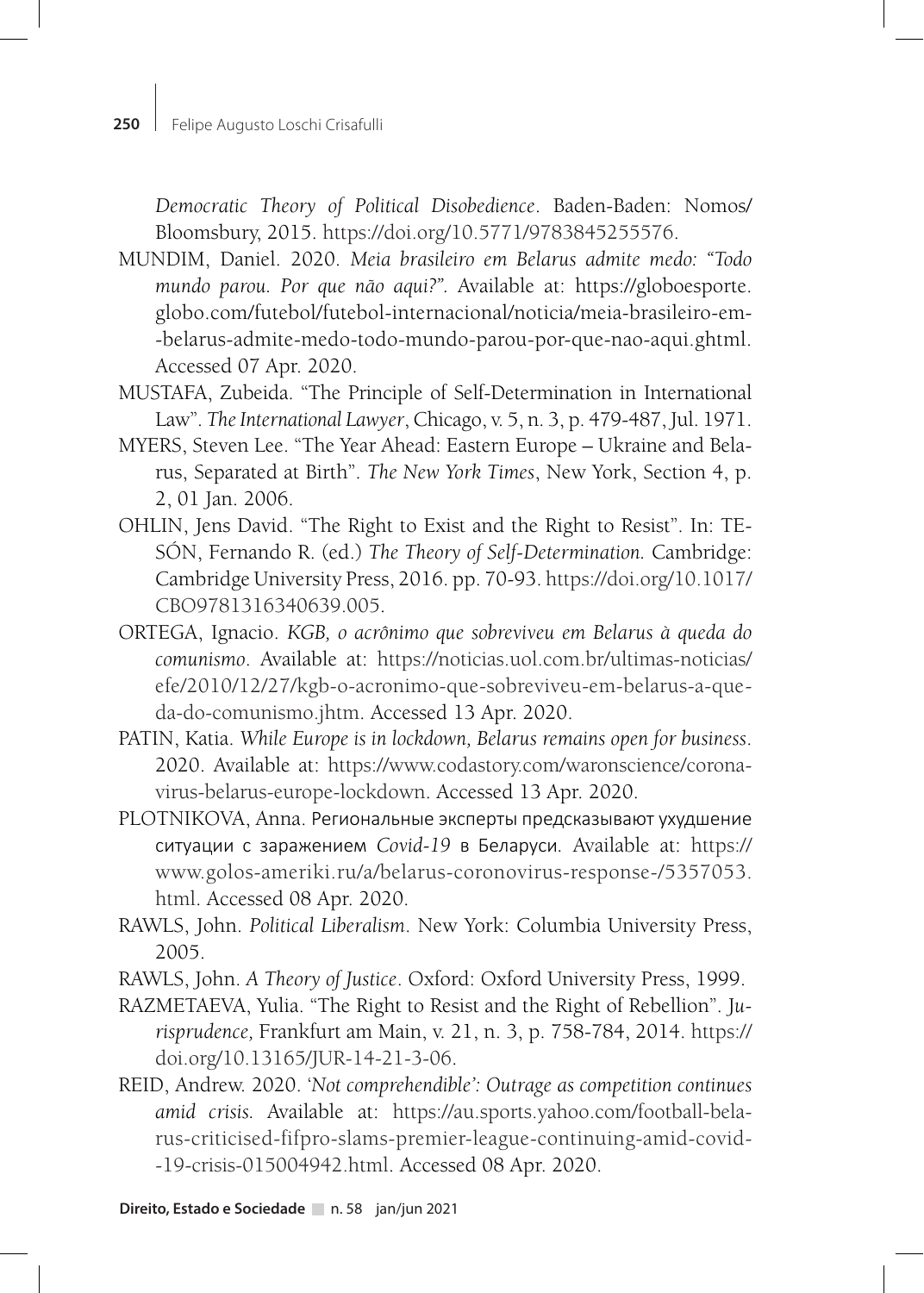*Democratic Theory of Political Disobedience*. Baden-Baden: Nomos/ Bloomsbury, 2015. https://doi.org/10.5771/9783845255576.

- MUNDIM, Daniel. 2020. *Meia brasileiro em Belarus admite medo: "Todo mundo parou. Por que não aqui?".* Available at: https://globoesporte. globo.com/futebol/futebol-internacional/noticia/meia-brasileiro-em- -belarus-admite-medo-todo-mundo-parou-por-que-nao-aqui.ghtml. Accessed 07 Apr. 2020.
- MUSTAFA, Zubeida. "The Principle of Self-Determination in International Law". *The International Lawyer*, Chicago, v. 5, n. 3, p. 479-487, Jul. 1971.
- MYERS, Steven Lee. "The Year Ahead: Eastern Europe Ukraine and Belarus, Separated at Birth". *The New York Times*, New York, Section 4, p. 2, 01 Jan. 2006.
- OHLIN, Jens David. "The Right to Exist and the Right to Resist". In: TE-SÓN, Fernando R. (ed.) *The Theory of Self-Determination.* Cambridge: Cambridge University Press, 2016. pp. 70-93. https://doi.org/10.1017/ CBO9781316340639.005.
- ORTEGA, Ignacio. *KGB, o acrônimo que sobreviveu em Belarus à queda do comunismo*. Available at: https://noticias.uol.com.br/ultimas-noticias/ efe/2010/12/27/kgb-o-acronimo-que-sobreviveu-em-belarus-a-queda-do-comunismo.jhtm. Accessed 13 Apr. 2020.
- PATIN, Katia. *While Europe is in lockdown, Belarus remains open for business*. 2020. Available at: https://www.codastory.com/waronscience/coronavirus-belarus-europe-lockdown. Accessed 13 Apr. 2020.
- PLOTNIKOVA, Anna. Региональные эксперты предсказывают ухудшение ситуации с заражением *Covid-19* в Беларуси*.* Available at: https:// www.golos-ameriki.ru/a/belarus-coronovirus-response-/5357053. html. Accessed 08 Apr. 2020.
- RAWLS, John. *Political Liberalism*. New York: Columbia University Press, 2005.
- RAWLS, John. *A Theory of Justice*. Oxford: Oxford University Press, 1999.
- RAZMETAEVA, Yulia. "The Right to Resist and the Right of Rebellion". J*urisprudence,* Frankfurt am Main, v. 21, n. 3, p. 758-784, 2014. https:// doi.org/10.13165/JUR-14-21-3-06.
- REID, Andrew. 2020. '*Not comprehendible': Outrage as competition continues amid crisis.* Available at: https://au.sports.yahoo.com/football-belarus-criticised-fifpro-slams-premier-league-continuing-amid-covid- -19-crisis-015004942.html. Accessed 08 Apr. 2020.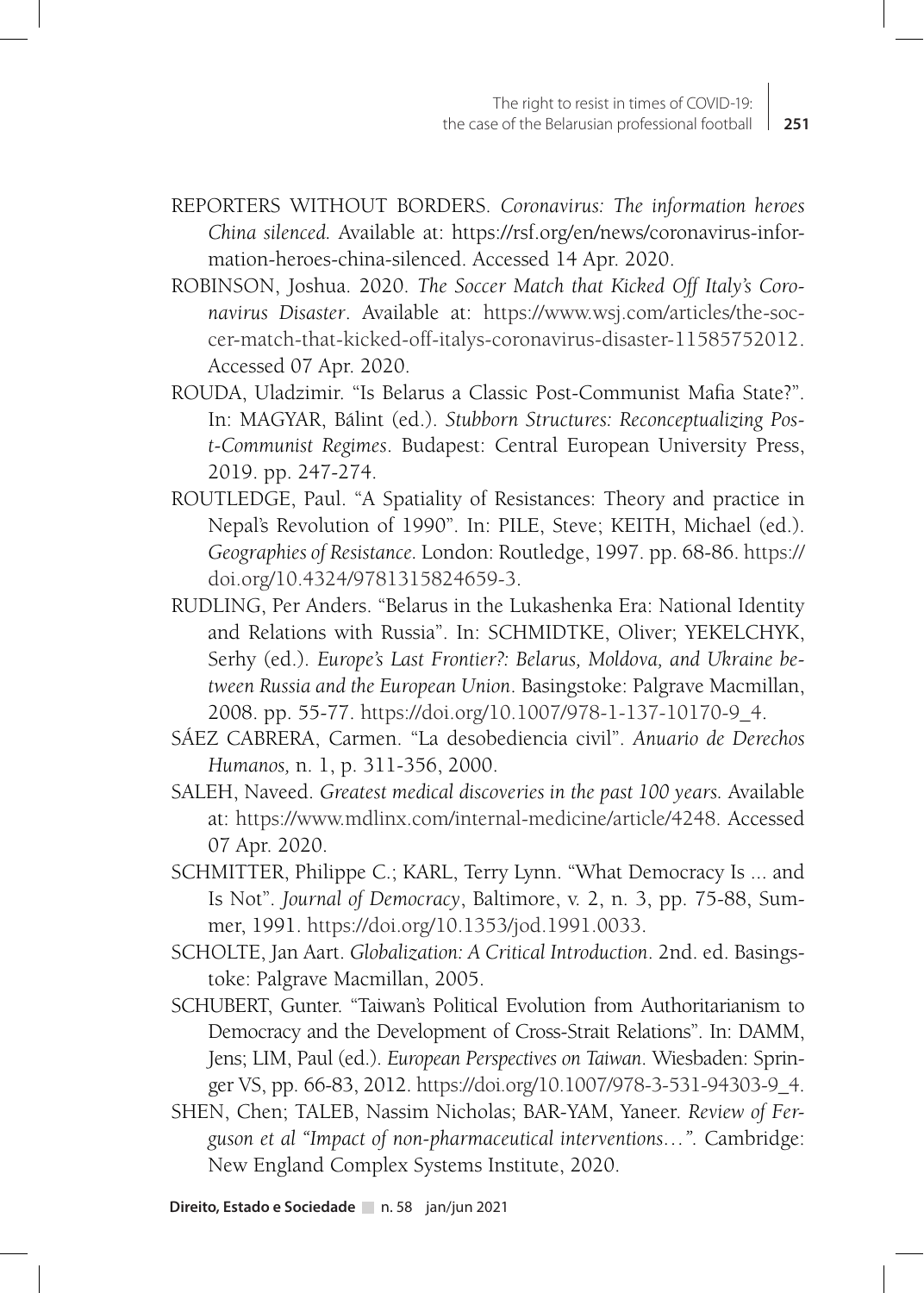- REPORTERS WITHOUT BORDERS. *Coronavirus: The information heroes China silenced.* Available at: https://rsf.org/en/news/coronavirus-information-heroes-china-silenced. Accessed 14 Apr. 2020.
- ROBINSON, Joshua. 2020. *The Soccer Match that Kicked Off Italy's Coronavirus Disaster*. Available at: https://www.wsj.com/articles/the-soccer-match-that-kicked-off-italys-coronavirus-disaster-11585752012. Accessed 07 Apr. 2020.
- ROUDA, Uladzimir. "Is Belarus a Classic Post-Communist Mafia State?". In: MAGYAR, Bálint (ed.). *Stubborn Structures: Reconceptualizing Post-Communist Regimes*. Budapest: Central European University Press, 2019. pp. 247-274.
- ROUTLEDGE, Paul. "A Spatiality of Resistances: Theory and practice in Nepal's Revolution of 1990". In: PILE, Steve; KEITH, Michael (ed.). *Geographies of Resistance.* London: Routledge, 1997. pp. 68-86. https:// doi.org/10.4324/9781315824659-3.
- RUDLING, Per Anders. "Belarus in the Lukashenka Era: National Identity and Relations with Russia". In: SCHMIDTKE, Oliver; YEKELCHYK, Serhy (ed.). *Europe's Last Frontier?: Belarus, Moldova, and Ukraine between Russia and the European Union*. Basingstoke: Palgrave Macmillan, 2008. pp. 55-77. https://doi.org/10.1007/978-1-137-10170-9\_4.
- SÁEZ CABRERA, Carmen. "La desobediencia civil". *Anuario de Derechos Humanos,* n. 1, p. 311-356, 2000.
- SALEH, Naveed. *Greatest medical discoveries in the past 100 years.* Available at: https://www.mdlinx.com/internal-medicine/article/4248. Accessed 07 Apr. 2020.
- SCHMITTER, Philippe C.; KARL, Terry Lynn. "What Democracy Is ... and Is Not". *Journal of Democracy*, Baltimore, v. 2, n. 3, pp. 75-88, Summer, 1991. https://doi.org/10.1353/jod.1991.0033.
- SCHOLTE, Jan Aart. *Globalization: A Critical Introduction*. 2nd. ed. Basingstoke: Palgrave Macmillan, 2005.
- SCHUBERT, Gunter. "Taiwan's Political Evolution from Authoritarianism to Democracy and the Development of Cross-Strait Relations". In: DAMM, Jens; LIM, Paul (ed.). *European Perspectives on Taiwan*. Wiesbaden: Springer VS, pp. 66-83, 2012. https://doi.org/10.1007/978-3-531-94303-9\_4.
- SHEN, Chen; TALEB, Nassim Nicholas; BAR-YAM, Yaneer. *Review of Ferguson et al "Impact of non-pharmaceutical interventions…".* Cambridge: New England Complex Systems Institute, 2020.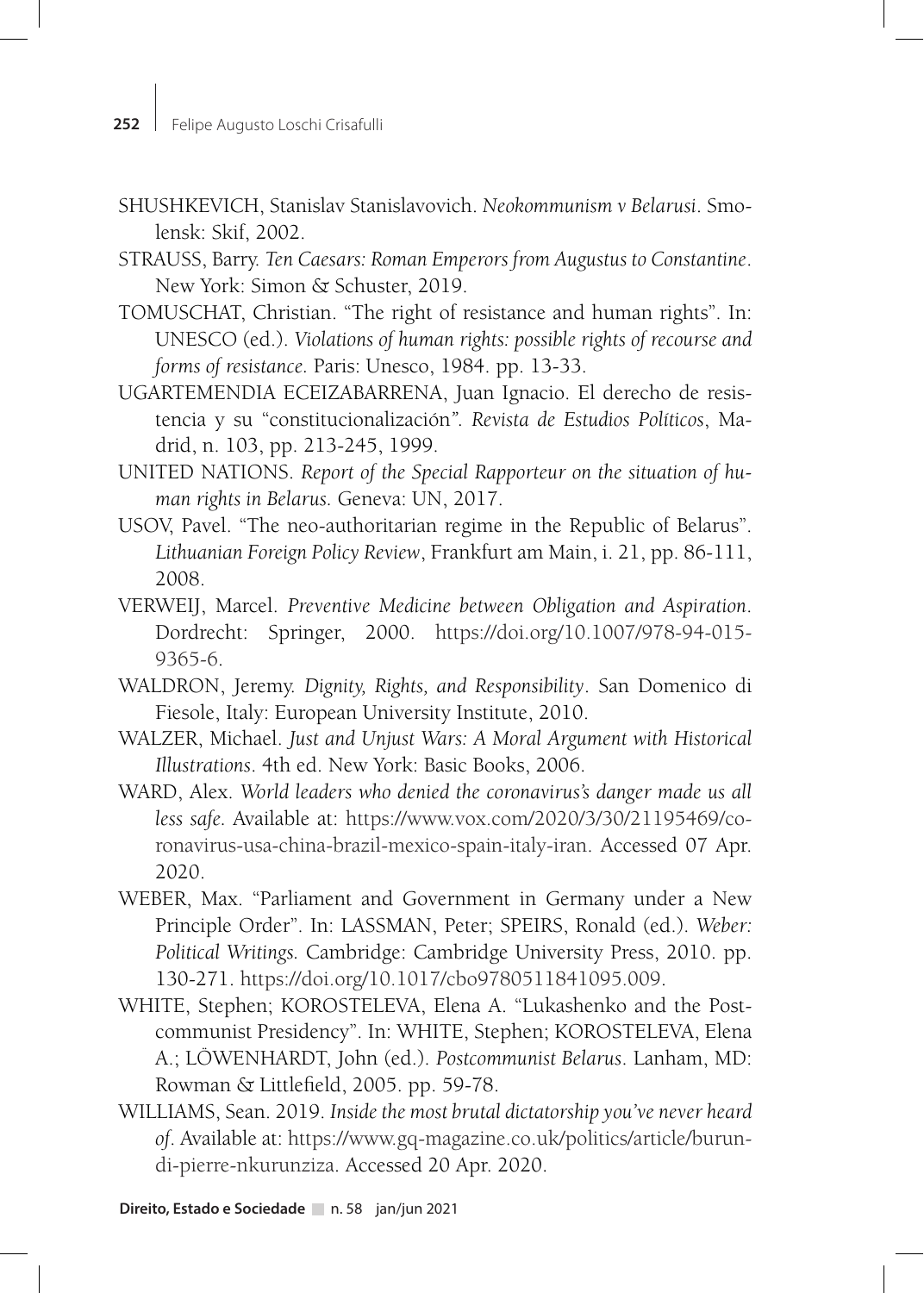- SHUSHKEVICH, Stanislav Stanislavovich. *Neokommunism v Belarusi*. Smolensk: Skif, 2002.
- STRAUSS, Barry. *Ten Caesars: Roman Emperors from Augustus to Constantine*. New York: Simon & Schuster, 2019.
- TOMUSCHAT, Christian. "The right of resistance and human rights". In: UNESCO (ed.). *Violations of human rights: possible rights of recourse and forms of resistance.* Paris: Unesco, 1984. pp. 13-33.
- UGARTEMENDIA ECEIZABARRENA, Juan Ignacio. El derecho de resistencia y su "constitucionalización*". Revista de Estudios Políticos*, Madrid, n. 103, pp. 213-245, 1999.
- UNITED NATIONS. *Report of the Special Rapporteur on the situation of human rights in Belarus.* Geneva: UN, 2017.
- USOV, Pavel. "The neo-authoritarian regime in the Republic of Belarus". *Lithuanian Foreign Policy Review*, Frankfurt am Main, i. 21, pp. 86-111, 2008.
- VERWEIJ, Marcel. *Preventive Medicine between Obligation and Aspiration*. Dordrecht: Springer, 2000. https://doi.org/10.1007/978-94-015- 9365-6.
- WALDRON, Jeremy. *Dignity, Rights, and Responsibility*. San Domenico di Fiesole, Italy: European University Institute, 2010.
- WALZER, Michael. *Just and Unjust Wars: A Moral Argument with Historical Illustrations*. 4th ed. New York: Basic Books, 2006.
- WARD, Alex. *World leaders who denied the coronavirus's danger made us all less safe.* Available at: https://www.vox.com/2020/3/30/21195469/coronavirus-usa-china-brazil-mexico-spain-italy-iran. Accessed 07 Apr. 2020.
- WEBER, Max. "Parliament and Government in Germany under a New Principle Order". In: LASSMAN, Peter; SPEIRS, Ronald (ed.). *Weber: Political Writings.* Cambridge: Cambridge University Press, 2010. pp. 130-271. https://doi.org/10.1017/cbo9780511841095.009.
- WHITE, Stephen; KOROSTELEVA, Elena A. "Lukashenko and the Postcommunist Presidency". In: WHITE, Stephen; KOROSTELEVA, Elena A.; LÖWENHARDT, John (ed.). *Postcommunist Belarus*. Lanham, MD: Rowman & Littlefield, 2005. pp. 59-78.
- WILLIAMS, Sean. 2019. *Inside the most brutal dictatorship you've never heard of*. Available at: https://www.gq-magazine.co.uk/politics/article/burundi-pierre-nkurunziza. Accessed 20 Apr. 2020.